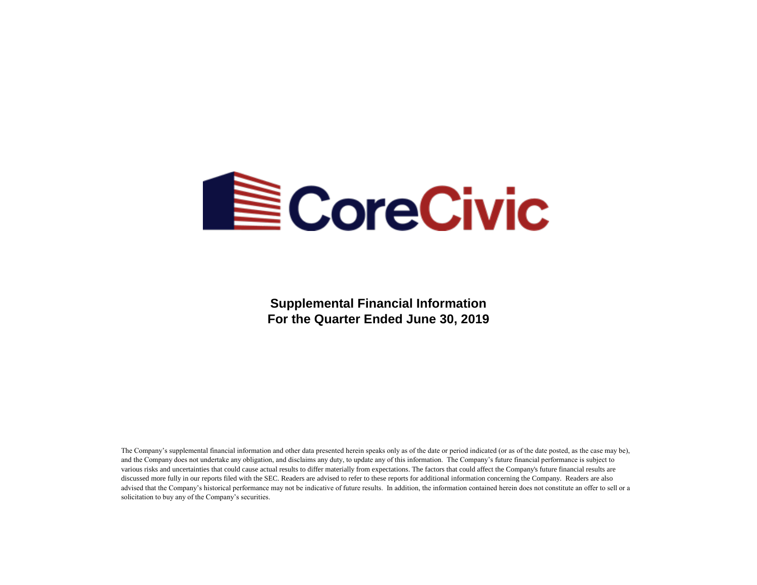

**Supplemental Financial Information For the Quarter Ended June 30, 2019**

The Company's supplemental financial information and other data presented herein speaks only as of the date or period indicated (or as of the date posted, as the case may be), and the Company does not undertake any obligation, and disclaims any duty, to update any of this information. The Company's future financial performance is subject to various risks and uncertainties that could cause actual results to differ materially from expectations. The factors that could affect the Company's future financial results are discussed more fully in our reports filed with the SEC. Readers are advised to refer to these reports for additional information concerning the Company. Readers are also advised that the Company's historical performance may not be indicative of future results. In addition, the information contained herein does not constitute an offer to sell or a solicitation to buy any of the Company's securities.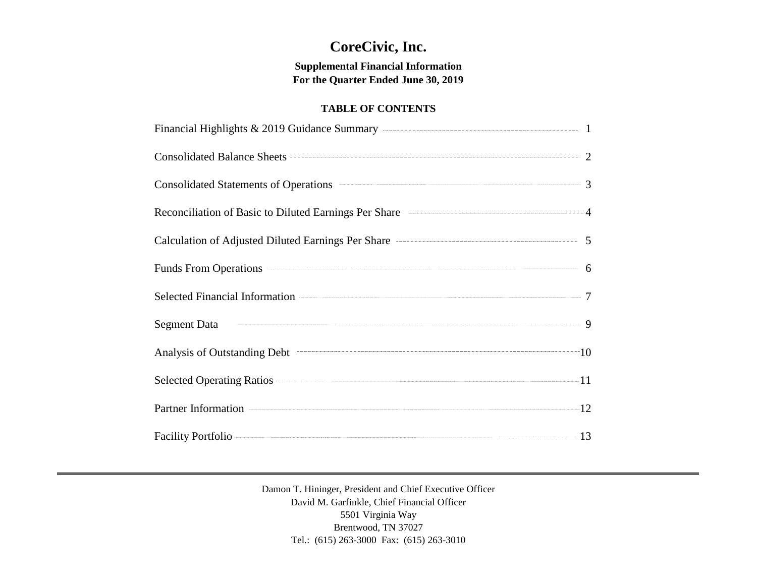# **CoreCivic, Inc.**

## **Supplemental Financial Information For the Quarter Ended June 30, 2019**

## **TABLE OF CONTENTS**

| Consolidated Balance Sheets 2                                                                                                                                                                                                                            |  |
|----------------------------------------------------------------------------------------------------------------------------------------------------------------------------------------------------------------------------------------------------------|--|
| Consolidated Statements of Operations <b>Consolidated Statements</b> of Operations <b>Consolidated Statements</b> of Operations <b>Consolidated Statements</b> of Operations <b>Consolidated Statements</b> of Operations <b>Consolidated Statements</b> |  |
| Reconciliation of Basic to Diluted Earnings Per Share ————————————————————4                                                                                                                                                                              |  |
|                                                                                                                                                                                                                                                          |  |
| Funds From Operations 6                                                                                                                                                                                                                                  |  |
| Selected Financial Information 2008 2012 2022 2023 2024 2022 2023 2024 2022 2023 2024 2022 2023 2024 2022 2023                                                                                                                                           |  |
| Segment Data 9                                                                                                                                                                                                                                           |  |
| Analysis of Outstanding Debt 10                                                                                                                                                                                                                          |  |
| Selected Operating Ratios 211                                                                                                                                                                                                                            |  |
| Partner Information 22                                                                                                                                                                                                                                   |  |
| Facility Portfolio — 13                                                                                                                                                                                                                                  |  |

Damon T. Hininger, President and Chief Executive Officer David M. Garfinkle, Chief Financial Officer 5501 Virginia Way Brentwood, TN 37027 Tel.: (615) 263-3000 Fax: (615) 263-3010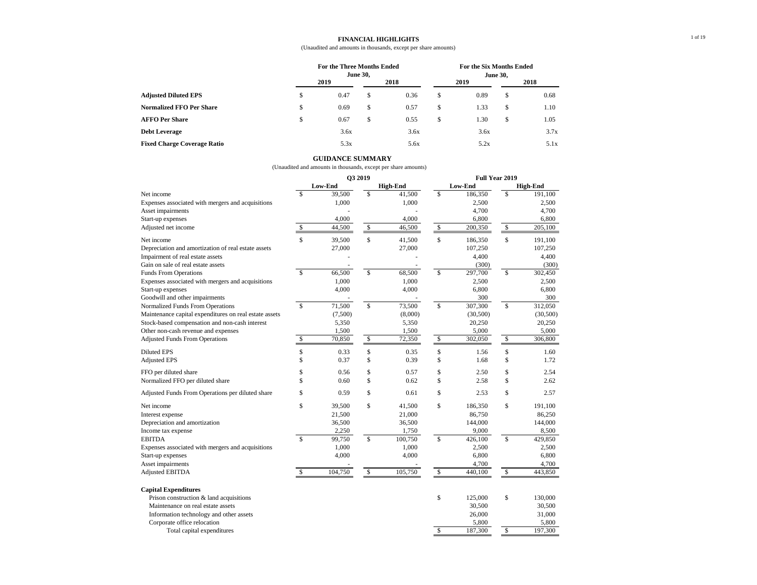#### **FINANCIAL HIGHLIGHTS**

#### (Unaudited and amounts in thousands, except per share amounts)

1 of 19

|                                    | <b>For the Three Months Ended</b><br><b>June 30,</b> |      |    |      |    | For the Six Months Ended<br><b>June 30,</b> |               |      |  |
|------------------------------------|------------------------------------------------------|------|----|------|----|---------------------------------------------|---------------|------|--|
|                                    |                                                      | 2019 |    | 2018 |    | 2019                                        |               | 2018 |  |
| <b>Adjusted Diluted EPS</b>        | \$                                                   | 0.47 | \$ | 0.36 | S  | 0.89                                        | S.            | 0.68 |  |
| <b>Normalized FFO Per Share</b>    | \$                                                   | 0.69 | \$ | 0.57 | \$ | 1.33                                        | \$            | 1.10 |  |
| <b>AFFO Per Share</b>              | \$                                                   | 0.67 | \$ | 0.55 | \$ | 1.30                                        | <sup>\$</sup> | 1.05 |  |
| <b>Debt Leverage</b>               |                                                      | 3.6x |    | 3.6x |    | 3.6x                                        |               | 3.7x |  |
| <b>Fixed Charge Coverage Ratio</b> |                                                      | 5.3x |    | 5.6x |    | 5.2x                                        |               | 5.1x |  |

|                                                        |               |         | Q3 2019 |                 | Full Year 2019            |          |                           |                 |  |  |
|--------------------------------------------------------|---------------|---------|---------|-----------------|---------------------------|----------|---------------------------|-----------------|--|--|
|                                                        |               | Low-End |         | <b>High-End</b> |                           | Low-End  |                           | <b>High-End</b> |  |  |
| Net income                                             | <sup>\$</sup> | 39,500  | \$      | 41,500          | \$                        | 186,350  | \$                        | 191,100         |  |  |
| Expenses associated with mergers and acquisitions      |               | 1,000   |         | 1,000           |                           | 2,500    |                           | 2,500           |  |  |
| Asset impairments                                      |               |         |         |                 |                           | 4,700    |                           | 4,700           |  |  |
| Start-up expenses                                      |               | 4,000   |         | 4,000           |                           | 6,800    |                           | 6,800           |  |  |
| Adjusted net income                                    | \$            | 44,500  | \$      | 46,500          | \$                        | 200,350  | $\mathbb S$               | 205,100         |  |  |
| Net income                                             | \$            | 39,500  | \$      | 41,500          | \$                        | 186,350  | \$                        | 191,100         |  |  |
| Depreciation and amortization of real estate assets    |               | 27,000  |         | 27,000          |                           | 107,250  |                           | 107,250         |  |  |
| Impairment of real estate assets                       |               |         |         |                 |                           | 4,400    |                           | 4,400           |  |  |
| Gain on sale of real estate assets                     |               |         |         |                 |                           | (300)    |                           | (300)           |  |  |
| <b>Funds From Operations</b>                           | $\mathbb{S}$  | 66,500  | \$      | 68,500          | \$                        | 297,700  | $\mathcal{S}$             | 302,450         |  |  |
| Expenses associated with mergers and acquisitions      |               | 1,000   |         | 1,000           |                           | 2,500    |                           | 2,500           |  |  |
| Start-up expenses                                      |               | 4,000   |         | 4,000           |                           | 6,800    |                           | 6,800           |  |  |
| Goodwill and other impairments                         |               |         |         |                 |                           | 300      |                           | 300             |  |  |
| Normalized Funds From Operations                       | \$            | 71,500  | \$      | 73,500          | \$                        | 307,300  | $\$\,$                    | 312,050         |  |  |
| Maintenance capital expenditures on real estate assets |               | (7,500) |         | (8,000)         |                           | (30,500) |                           | (30,500)        |  |  |
| Stock-based compensation and non-cash interest         |               | 5,350   |         | 5,350           |                           | 20,250   |                           | 20,250          |  |  |
| Other non-cash revenue and expenses                    |               | 1,500   |         | 1,500           |                           | 5,000    |                           | 5,000           |  |  |
| <b>Adjusted Funds From Operations</b>                  | \$            | 70,850  | \$      | 72,350          | \$                        | 302,050  | $\boldsymbol{\mathsf{S}}$ | 306,800         |  |  |
| <b>Diluted EPS</b>                                     | \$            | 0.33    | \$      | 0.35            | \$                        | 1.56     | \$                        | 1.60            |  |  |
| <b>Adjusted EPS</b>                                    | \$            | 0.37    | \$      | 0.39            | \$                        | 1.68     | \$                        | 1.72            |  |  |
| FFO per diluted share                                  | \$            | 0.56    | \$      | 0.57            | \$                        | 2.50     | \$                        | 2.54            |  |  |
| Normalized FFO per diluted share                       | \$            | 0.60    | \$      | 0.62            | \$                        | 2.58     | \$                        | 2.62            |  |  |
| Adjusted Funds From Operations per diluted share       | \$            | 0.59    | \$      | 0.61            | \$                        | 2.53     | \$                        | 2.57            |  |  |
| Net income                                             | \$            | 39,500  | \$      | 41,500          | \$                        | 186,350  | \$                        | 191,100         |  |  |
| Interest expense                                       |               | 21,500  |         | 21,000          |                           | 86,750   |                           | 86,250          |  |  |
| Depreciation and amortization                          |               | 36,500  |         | 36,500          |                           | 144,000  |                           | 144,000         |  |  |
| Income tax expense                                     |               | 2,250   |         | 1,750           |                           | 9,000    |                           | 8,500           |  |  |
| <b>EBITDA</b>                                          | $\mathbb{S}$  | 99,750  | \$      | 100,750         | \$                        | 426,100  | $\boldsymbol{\mathsf{S}}$ | 429,850         |  |  |
| Expenses associated with mergers and acquisitions      |               | 1,000   |         | 1,000           |                           | 2,500    |                           | 2,500           |  |  |
| Start-up expenses                                      |               | 4,000   |         | 4,000           |                           | 6,800    |                           | 6,800           |  |  |
| Asset impairments                                      |               |         |         |                 |                           | 4,700    |                           | 4,700           |  |  |
| <b>Adjusted EBITDA</b>                                 | \$            | 104,750 | \$      | 105,750         | $\mathbb{S}$              | 440,100  | $\mathbb{S}$              | 443,850         |  |  |
| <b>Capital Expenditures</b>                            |               |         |         |                 |                           |          |                           |                 |  |  |
| Prison construction & land acquisitions                |               |         |         |                 | \$                        | 125,000  | \$                        | 130,000         |  |  |
| Maintenance on real estate assets                      |               |         |         |                 |                           | 30,500   |                           | 30,500          |  |  |
| Information technology and other assets                |               |         |         |                 |                           | 26,000   |                           | 31,000          |  |  |
| Corporate office relocation                            |               |         |         |                 |                           | 5,800    |                           | 5,800           |  |  |
| Total capital expenditures                             |               |         |         |                 | $\boldsymbol{\mathsf{S}}$ | 187,300  | $\mathbb{S}$              | 197,300         |  |  |

#### **GUIDANCE SUMMARY**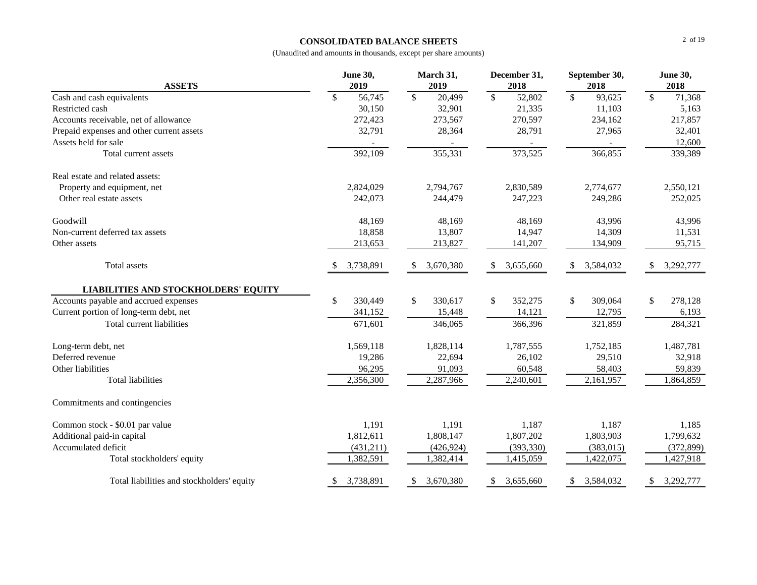#### **CONSOLIDATED BALANCE SHEETS**

|                                             | <b>June 30,</b> | March 31,               | December 31,                       | September 30,           | <b>June 30,</b>         |
|---------------------------------------------|-----------------|-------------------------|------------------------------------|-------------------------|-------------------------|
| <b>ASSETS</b>                               | 2019            | 2019                    | 2018                               | 2018                    | 2018                    |
| Cash and cash equivalents                   | \$<br>56,745    | $\mathcal{S}$<br>20,499 | $\overline{\mathcal{S}}$<br>52,802 | $\sqrt$<br>93,625       | $\mathcal{S}$<br>71,368 |
| Restricted cash                             | 30,150          | 32,901                  | 21,335                             | 11,103                  | 5,163                   |
| Accounts receivable, net of allowance       | 272,423         | 273,567                 | 270,597                            | 234,162                 | 217,857                 |
| Prepaid expenses and other current assets   | 32,791          | 28,364                  | 28,791                             | 27,965                  | 32,401                  |
| Assets held for sale                        |                 |                         |                                    |                         | 12,600                  |
| Total current assets                        | 392,109         | 355,331                 | 373,525                            | 366,855                 | 339,389                 |
| Real estate and related assets:             |                 |                         |                                    |                         |                         |
| Property and equipment, net                 | 2,824,029       | 2,794,767               | 2,830,589                          | 2,774,677               | 2,550,121               |
| Other real estate assets                    | 242,073         | 244,479                 | 247,223                            | 249,286                 | 252,025                 |
| Goodwill                                    | 48,169          | 48,169                  | 48,169                             | 43,996                  | 43,996                  |
| Non-current deferred tax assets             | 18,858          | 13,807                  | 14,947                             | 14,309                  | 11,531                  |
| Other assets                                | 213,653         | 213,827                 | 141,207                            | 134,909                 | 95,715                  |
| Total assets                                | 3,738,891       | 3,670,380<br>\$         | 3,655,660<br>\$                    | 3,584,032<br>-S         | 3,292,777<br>\$         |
| <b>LIABILITIES AND STOCKHOLDERS' EQUITY</b> |                 |                         |                                    |                         |                         |
| Accounts payable and accrued expenses       | \$<br>330,449   | $\mathbb{S}$<br>330,617 | \$<br>352,275                      | $\mathbb{S}$<br>309,064 | \$<br>278,128           |
| Current portion of long-term debt, net      | 341,152         | 15,448                  | 14,121                             | 12,795                  | 6,193                   |
| Total current liabilities                   | 671,601         | 346,065                 | 366,396                            | 321,859                 | 284,321                 |
| Long-term debt, net                         | 1,569,118       | 1,828,114               | 1,787,555                          | 1,752,185               | 1,487,781               |
| Deferred revenue                            | 19,286          | 22,694                  | 26,102                             | 29,510                  | 32,918                  |
| Other liabilities                           | 96,295          | 91,093                  | 60,548                             | 58,403                  | 59,839                  |
| <b>Total liabilities</b>                    | 2,356,300       | 2,287,966               | 2,240,601                          | 2,161,957               | 1,864,859               |
| Commitments and contingencies               |                 |                         |                                    |                         |                         |
| Common stock - \$0.01 par value             | 1,191           | 1,191                   | 1,187                              | 1,187                   | 1,185                   |
| Additional paid-in capital                  | 1,812,611       | 1,808,147               | 1,807,202                          | 1,803,903               | 1,799,632               |
| Accumulated deficit                         | (431,211)       | (426, 924)              | (393, 330)                         | (383,015)               | (372, 899)              |
| Total stockholders' equity                  | 1,382,591       | 1,382,414               | 1,415,059                          | 1,422,075               | 1,427,918               |
| Total liabilities and stockholders' equity  | 3,738,891<br>æ. | 3,670,380<br>\$         | 3,655,660<br>\$                    | 3,584,032<br>\$         | 3,292,777<br>\$         |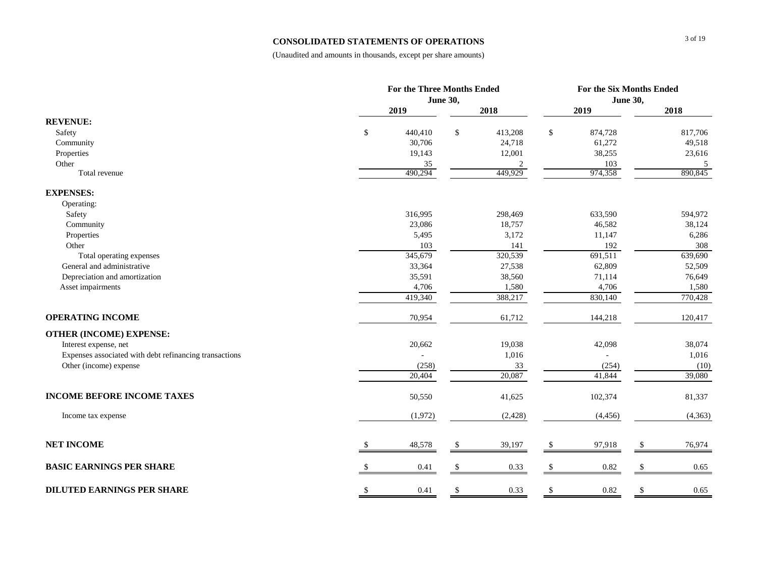#### **CONSOLIDATED STATEMENTS OF OPERATIONS**

|                                                        |               | For the Three Months Ended |                 |          |              |                 | For the Six Months Ended |                     |  |  |
|--------------------------------------------------------|---------------|----------------------------|-----------------|----------|--------------|-----------------|--------------------------|---------------------|--|--|
|                                                        |               |                            | <b>June 30,</b> |          |              | <b>June 30,</b> |                          |                     |  |  |
|                                                        |               | 2019                       |                 | 2018     |              | 2019            |                          | 2018                |  |  |
| <b>REVENUE:</b>                                        |               |                            |                 |          |              |                 |                          |                     |  |  |
| Safety                                                 | \$            | 440,410                    | $\$\,$          | 413,208  | \$           | 874,728         |                          | 817,706             |  |  |
| Community                                              |               | 30,706                     |                 | 24,718   |              | 61,272          |                          | 49,518              |  |  |
| Properties                                             |               | 19,143                     |                 | 12,001   |              | 38,255          |                          | 23,616              |  |  |
| Other                                                  |               | 35                         |                 | 2        |              | 103             |                          | $\overline{5}$      |  |  |
| Total revenue                                          |               | 490,294                    |                 | 449,929  |              | 974,358         |                          | 890,845             |  |  |
| <b>EXPENSES:</b>                                       |               |                            |                 |          |              |                 |                          |                     |  |  |
| Operating:                                             |               |                            |                 |          |              |                 |                          |                     |  |  |
| Safety                                                 |               | 316,995                    |                 | 298,469  |              | 633,590         |                          | 594,972             |  |  |
| Community                                              |               | 23,086                     |                 | 18,757   |              | 46,582          |                          | 38,124              |  |  |
| Properties                                             |               | 5,495                      |                 | 3,172    |              | 11,147          |                          | 6,286               |  |  |
| Other                                                  |               | 103                        |                 | 141      |              | 192             |                          | 308                 |  |  |
| Total operating expenses                               |               | 345,679                    |                 | 320,539  |              | 691,511         |                          | 639,690             |  |  |
| General and administrative                             |               | 33,364                     |                 | 27,538   |              | 62,809          |                          | 52,509              |  |  |
| Depreciation and amortization                          |               | 35,591                     |                 | 38,560   |              | 71,114          |                          | 76,649              |  |  |
| Asset impairments                                      |               | 4,706                      |                 | 1,580    |              | 4,706           |                          | 1,580               |  |  |
|                                                        |               | 419,340                    |                 | 388,217  |              | 830,140         |                          | 770,428             |  |  |
| <b>OPERATING INCOME</b>                                |               | 70,954                     |                 | 61,712   |              | 144,218         |                          | 120,417             |  |  |
| <b>OTHER (INCOME) EXPENSE:</b>                         |               |                            |                 |          |              |                 |                          |                     |  |  |
| Interest expense, net                                  |               | 20,662                     |                 | 19,038   |              | 42,098          |                          | 38,074              |  |  |
| Expenses associated with debt refinancing transactions |               |                            |                 | 1,016    |              |                 |                          | 1,016               |  |  |
| Other (income) expense                                 |               | (258)                      |                 | 33       |              | (254)           |                          | (10)                |  |  |
|                                                        |               | 20,404                     |                 | 20,087   |              | 41,844          |                          | $\overline{39,080}$ |  |  |
| <b>INCOME BEFORE INCOME TAXES</b>                      |               | 50,550                     |                 | 41,625   |              | 102,374         |                          | 81,337              |  |  |
| Income tax expense                                     |               | (1,972)                    |                 | (2, 428) |              | (4, 456)        |                          | (4,363)             |  |  |
| <b>NET INCOME</b>                                      | S             | 48,578                     | \$              | 39,197   | \$           | 97,918          | \$                       | 76,974              |  |  |
| <b>BASIC EARNINGS PER SHARE</b>                        | <sup>\$</sup> | 0.41                       | \$              | 0.33     | $\mathbb{S}$ | 0.82            |                          | $0.65\,$            |  |  |
|                                                        |               |                            |                 |          |              |                 |                          |                     |  |  |
| <b>DILUTED EARNINGS PER SHARE</b>                      | \$            | 0.41                       | \$              | 0.33     | S            | 0.82            |                          | 0.65                |  |  |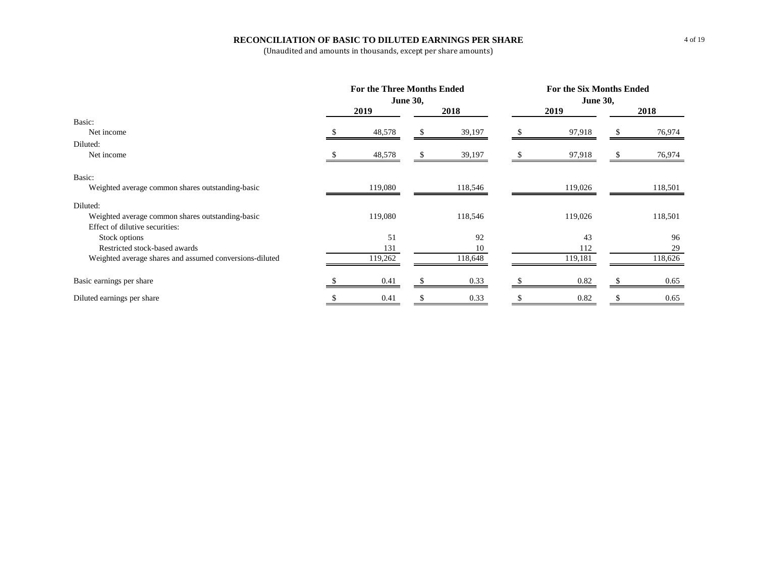#### **RECONCILIATION OF BASIC TO DILUTED EARNINGS PER SHARE**

|                                                         | <b>For the Three Months Ended</b> |         | <b>For the Six Months Ended</b> |         |  |         |  |  |
|---------------------------------------------------------|-----------------------------------|---------|---------------------------------|---------|--|---------|--|--|
|                                                         | <b>June 30,</b>                   |         | <b>June 30,</b>                 |         |  |         |  |  |
|                                                         | 2019                              | 2018    |                                 | 2019    |  | 2018    |  |  |
| Basic:                                                  |                                   |         |                                 |         |  |         |  |  |
| Net income                                              | 48,578                            | 39,197  |                                 | 97,918  |  | 76,974  |  |  |
| Diluted:                                                |                                   |         |                                 |         |  |         |  |  |
| Net income                                              | 48,578                            | 39,197  |                                 | 97,918  |  | 76,974  |  |  |
| Basic:                                                  |                                   |         |                                 |         |  |         |  |  |
| Weighted average common shares outstanding-basic        | 119,080                           | 118,546 |                                 | 119,026 |  | 118,501 |  |  |
| Diluted:                                                |                                   |         |                                 |         |  |         |  |  |
| Weighted average common shares outstanding-basic        | 119,080                           | 118,546 |                                 | 119,026 |  | 118,501 |  |  |
| Effect of dilutive securities:                          |                                   |         |                                 |         |  |         |  |  |
| Stock options                                           | 51                                | 92      |                                 | 43      |  | 96      |  |  |
| Restricted stock-based awards                           | 131                               | 10      |                                 | 112     |  | 29      |  |  |
| Weighted average shares and assumed conversions-diluted | 119,262                           | 118,648 |                                 | 119,181 |  | 118,626 |  |  |
| Basic earnings per share                                | 0.41                              | 0.33    |                                 | 0.82    |  | 0.65    |  |  |
| Diluted earnings per share                              | 0.41                              | 0.33    |                                 | 0.82    |  | 0.65    |  |  |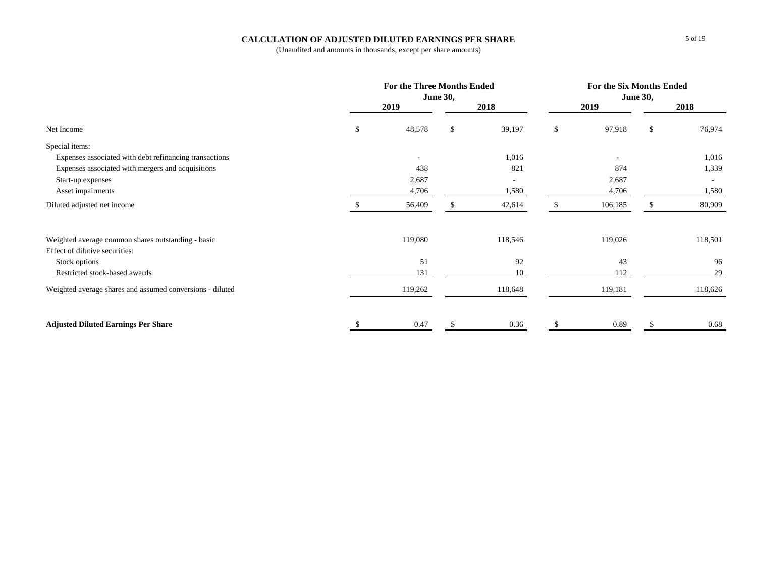#### **CALCULATION OF ADJUSTED DILUTED EARNINGS PER SHARE**

|                                                           |    | For the Three Months Ended<br><b>June 30,</b> |    |         |    |         | For the Six Months Ended<br><b>June 30,</b> |                          |  |  |
|-----------------------------------------------------------|----|-----------------------------------------------|----|---------|----|---------|---------------------------------------------|--------------------------|--|--|
|                                                           |    | 2019                                          |    | 2018    |    | 2019    |                                             | 2018                     |  |  |
| Net Income                                                | \$ | 48,578                                        | \$ | 39,197  | \$ | 97,918  | \$                                          | 76,974                   |  |  |
| Special items:                                            |    |                                               |    |         |    |         |                                             |                          |  |  |
| Expenses associated with debt refinancing transactions    |    | $\overline{\phantom{a}}$                      |    | 1,016   |    |         |                                             | 1,016                    |  |  |
| Expenses associated with mergers and acquisitions         |    | 438                                           |    | 821     |    | 874     |                                             | 1,339                    |  |  |
| Start-up expenses                                         |    | 2,687                                         |    |         |    | 2,687   |                                             | $\overline{\phantom{a}}$ |  |  |
| Asset impairments                                         |    | 4,706                                         |    | 1,580   |    | 4,706   |                                             | 1,580                    |  |  |
| Diluted adjusted net income                               |    | 56,409                                        |    | 42,614  |    | 106,185 |                                             | 80,909                   |  |  |
| Weighted average common shares outstanding - basic        |    | 119,080                                       |    | 118,546 |    | 119,026 |                                             | 118,501                  |  |  |
| Effect of dilutive securities:                            |    |                                               |    |         |    |         |                                             |                          |  |  |
| Stock options                                             |    | 51                                            |    | 92      |    | 43      |                                             | 96                       |  |  |
| Restricted stock-based awards                             |    | 131                                           |    | 10      |    | 112     |                                             | 29                       |  |  |
| Weighted average shares and assumed conversions - diluted |    | 119,262                                       |    | 118,648 |    | 119,181 |                                             | 118,626                  |  |  |
| <b>Adjusted Diluted Earnings Per Share</b>                | .S | 0.47                                          | -S | 0.36    | \$ | 0.89    | <sup>\$</sup>                               | 0.68                     |  |  |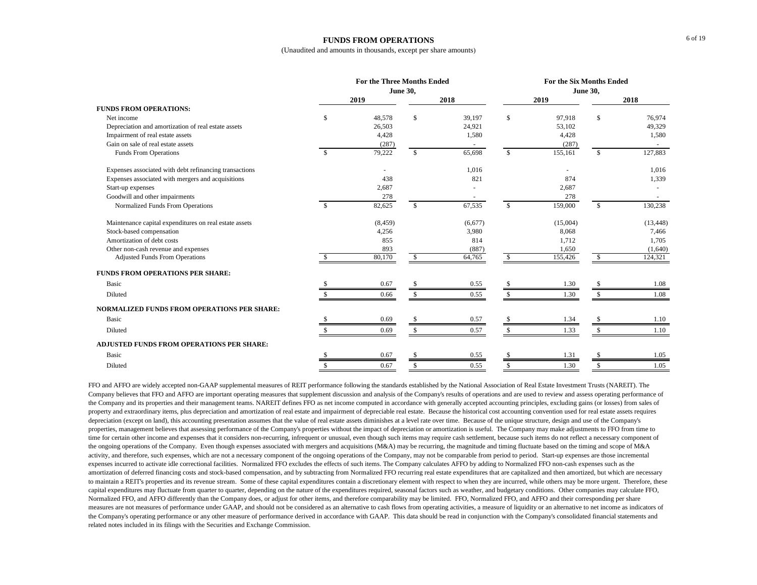#### **FUNDS FROM OPERATIONS**

(Unaudited and amounts in thousands, except per share amounts)

|                                                        | <b>For the Three Months Ended</b> |          |               |                |                 | <b>For the Six Months Ended</b> |               |           |  |  |  |
|--------------------------------------------------------|-----------------------------------|----------|---------------|----------------|-----------------|---------------------------------|---------------|-----------|--|--|--|
|                                                        | <b>June 30,</b>                   |          |               |                | <b>June 30,</b> |                                 |               |           |  |  |  |
|                                                        |                                   | 2019     |               | 2018           |                 | 2019                            |               | 2018      |  |  |  |
| <b>FUNDS FROM OPERATIONS:</b>                          |                                   |          |               |                |                 |                                 |               |           |  |  |  |
| Net income                                             | \$                                | 48,578   | \$            | 39,197         | \$              | 97,918                          | \$            | 76.974    |  |  |  |
| Depreciation and amortization of real estate assets    |                                   | 26,503   |               | 24,921         |                 | 53,102                          |               | 49,329    |  |  |  |
| Impairment of real estate assets                       |                                   | 4,428    |               | 1,580          |                 | 4,428                           |               | 1,580     |  |  |  |
| Gain on sale of real estate assets                     |                                   | (287)    |               |                |                 | (287)                           |               |           |  |  |  |
| <b>Funds From Operations</b>                           | -S                                | 79,222   | $\mathbb{S}$  | 65,698         | $\mathbb{S}$    | 155,161                         | <sup>\$</sup> | 127,883   |  |  |  |
| Expenses associated with debt refinancing transactions |                                   |          |               | 1,016          |                 |                                 |               | 1,016     |  |  |  |
| Expenses associated with mergers and acquisitions      |                                   | 438      |               | 821            |                 | 874                             |               | 1,339     |  |  |  |
| Start-up expenses                                      |                                   | 2,687    |               |                |                 | 2,687                           |               |           |  |  |  |
| Goodwill and other impairments                         |                                   | 278      |               | $\overline{a}$ |                 | 278                             |               |           |  |  |  |
| Normalized Funds From Operations                       | $\mathcal{S}$                     | 82,625   | $\mathbb{S}$  | 67,535         | $\mathbb{S}$    | 159,000                         | <sup>\$</sup> | 130,238   |  |  |  |
| Maintenance capital expenditures on real estate assets |                                   | (8, 459) |               | (6,677)        |                 | (15,004)                        |               | (13, 448) |  |  |  |
| Stock-based compensation                               |                                   | 4,256    |               | 3,980          |                 | 8,068                           |               | 7,466     |  |  |  |
| Amortization of debt costs                             |                                   | 855      |               | 814            |                 | 1,712                           |               | 1,705     |  |  |  |
| Other non-cash revenue and expenses                    |                                   | 893      |               | (887)          |                 | 1,650                           |               | (1,640)   |  |  |  |
| <b>Adjusted Funds From Operations</b>                  |                                   | 80,170   | \$            | 64,765         | S.              | 155,426                         | <sup>S</sup>  | 124,321   |  |  |  |
| FUNDS FROM OPERATIONS PER SHARE:                       |                                   |          |               |                |                 |                                 |               |           |  |  |  |
| Basic                                                  |                                   | 0.67     | \$            | 0.55           |                 | 1.30                            |               | 1.08      |  |  |  |
| Diluted                                                |                                   | 0.66     | \$            | 0.55           |                 | 1.30                            |               | 1.08      |  |  |  |
| <b>NORMALIZED FUNDS FROM OPERATIONS PER SHARE:</b>     |                                   |          |               |                |                 |                                 |               |           |  |  |  |
| Basic                                                  |                                   | 0.69     |               | 0.57           |                 | 1.34                            |               | 1.10      |  |  |  |
| Diluted                                                |                                   | 0.69     | \$.           | 0.57           |                 | 1.33                            |               | 1.10      |  |  |  |
| <b>ADJUSTED FUNDS FROM OPERATIONS PER SHARE:</b>       |                                   |          |               |                |                 |                                 |               |           |  |  |  |
| Basic                                                  |                                   | 0.67     | <sup>\$</sup> | 0.55           |                 | 1.31                            | <sup>\$</sup> | 1.05      |  |  |  |
| Diluted                                                | £.                                | 0.67     | \$            | 0.55           | \$              | 1.30                            | <sup>\$</sup> | 1.05      |  |  |  |

FFO and AFFO are widely accepted non-GAAP supplemental measures of REIT performance following the standards established by the National Association of Real Estate Investment Trusts (NAREIT). The Company believes that FFO and AFFO are important operating measures that supplement discussion and analysis of the Company's results of operations and are used to review and assess operating performance of the Company and its properties and their management teams. NAREIT defines FFO as net income computed in accordance with generally accepted accounting principles, excluding gains (or losses) from sales of property and extraordinary items, plus depreciation and amortization of real estate and impairment of depreciable real estate. Because the historical cost accounting convention used for real estate assets requires depreciation (except on land), this accounting presentation assumes that the value of real estate assets diminishes at a level rate over time. Because of the unique structure, design and use of the Company's properties, management believes that assessing performance of the Company's properties without the impact of depreciation or amortization is useful. The Company may make adjustments to FFO from time to time for certain other income and expenses that it considers non-recurring, infrequent or unusual, even though such items may require cash settlement, because such items do not reflect a necessary component of the ongoing operations of the Company. Even though expenses associated with mergers and acquisitions (M&A) may be recurring, the magnitude and timing fluctuate based on the timing and scope of M&A activity, and therefore, such expenses, which are not a necessary component of the ongoing operations of the Company, may not be comparable from period to period. Start-up expenses are those incremental expenses incurred to activate idle correctional facilities. Normalized FFO excludes the effects of such items. The Company calculates AFFO by adding to Normalized FFO non-cash expenses such as the amortization of deferred financing costs and stock-based compensation, and by subtracting from Normalized FFO recurring real estate expenditures that are capitalized and then amortized, but which are necessary to maintain a REIT's properties and its revenue stream. Some of these capital expenditures contain a discretionary element with respect to when they are incurred, while others may be more urgent. Therefore, these capital expenditures may fluctuate from quarter to quarter, depending on the nature of the expenditures required, seasonal factors such as weather, and budgetary conditions. Other companies may calculate FFO, Normalized FFO, and AFFO differently than the Company does, or adjust for other items, and therefore comparability may be limited. FFO, Normalized FFO, and AFFO and their corresponding per share measures are not measures of performance under GAAP, and should not be considered as an alternative to cash flows from operating activities, a measure of liquidity or an alternative to net income as indicators of the Company's operating performance or any other measure of performance derived in accordance with GAAP. This data should be read in conjunction with the Company's consolidated financial statements and related notes included in its filings with the Securities and Exchange Commission.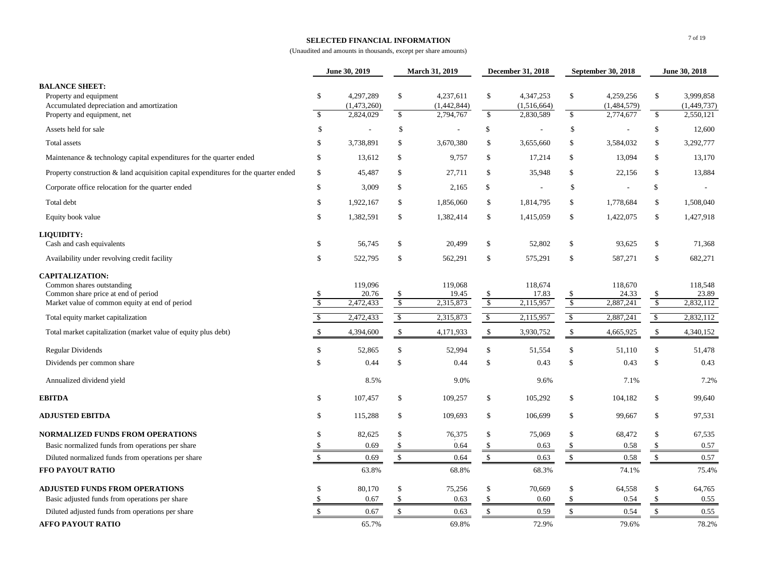#### **SELECTED FINANCIAL INFORMATION**

|                                                                                                                                              |                     | June 30, 2019                 |                   | <b>March 31, 2019</b>         |                                          | <b>December 31, 2018</b>      |                           | <b>September 30, 2018</b>     |                                          | June 30, 2018                 |
|----------------------------------------------------------------------------------------------------------------------------------------------|---------------------|-------------------------------|-------------------|-------------------------------|------------------------------------------|-------------------------------|---------------------------|-------------------------------|------------------------------------------|-------------------------------|
| <b>BALANCE SHEET:</b><br>Property and equipment<br>Accumulated depreciation and amortization                                                 | \$                  | 4,297,289<br>(1,473,260)      | $\sqrt$           | 4,237,611<br>(1,442,844)      | \$                                       | 4,347,253<br>(1,516,664)      | \$                        | 4,259,256<br>(1,484,579)      | \$                                       | 3,999,858<br>(1,449,737)      |
| Property and equipment, net                                                                                                                  | $\mathbb{S}$        | 2,824,029                     | $\mathsf{\$}$     | 2,794,767                     | $\mathbb{S}$                             | 2,830,589                     | $\mathbb{S}$              | 2,774,677                     | $\mathbb{S}$                             | 2,550,121                     |
| Assets held for sale                                                                                                                         | $\mathcal{S}$       |                               | \$                |                               | \$                                       |                               | \$                        |                               | \$                                       | 12,600                        |
| Total assets                                                                                                                                 | \$                  | 3,738,891                     | \$                | 3,670,380                     | \$                                       | 3,655,660                     | \$                        | 3,584,032                     | \$                                       | 3,292,777                     |
| Maintenance $\&$ technology capital expenditures for the quarter ended                                                                       | \$                  | 13,612                        | \$                | 9,757                         | \$                                       | 17,214                        | $\$\$                     | 13,094                        | \$                                       | 13,170                        |
| Property construction $\&$ land acquisition capital expenditures for the quarter ended                                                       | \$                  | 45,487                        | \$                | 27,711                        | \$                                       | 35,948                        | $\$\$                     | 22,156                        | \$                                       | 13,884                        |
| Corporate office relocation for the quarter ended                                                                                            | \$                  | 3,009                         | \$                | 2,165                         | \$                                       |                               | $\$\$                     |                               | $\mathbb{S}$                             |                               |
| Total debt                                                                                                                                   | \$                  | 1,922,167                     | $\mathcal{S}$     | 1,856,060                     | \$                                       | 1,814,795                     | \$                        | 1,778,684                     | \$                                       | 1,508,040                     |
| Equity book value                                                                                                                            | \$                  | 1,382,591                     | \$                | 1,382,414                     | \$                                       | 1,415,059                     | $\boldsymbol{\mathsf{S}}$ | 1,422,075                     | \$                                       | 1,427,918                     |
| LIQUIDITY:<br>Cash and cash equivalents                                                                                                      | \$                  | 56,745                        | \$                | 20,499                        | \$                                       | 52,802                        | \$                        | 93,625                        | \$                                       | 71,368                        |
| Availability under revolving credit facility                                                                                                 | \$                  | 522,795                       | $\mathbb{S}$      | 562,291                       | \$                                       | 575,291                       | $\boldsymbol{\mathsf{S}}$ | 587,271                       | \$                                       | 682,271                       |
| <b>CAPITALIZATION:</b><br>Common shares outstanding<br>Common share price at end of period<br>Market value of common equity at end of period | \$<br><sup>\$</sup> | 119,096<br>20.76<br>2,472,433 | -S<br>$\sqrt{\ }$ | 119,068<br>19.45<br>2,315,873 | $\mathcal{L}$<br>$\sqrt[6]{\frac{1}{2}}$ | 118,674<br>17.83<br>2,115,957 | \$<br>$\sqrt{3}$          | 118,670<br>24.33<br>2,887,241 | $\mathcal{S}$<br>$\sqrt[6]{\frac{1}{2}}$ | 118,548<br>23.89<br>2,832,112 |
| Total equity market capitalization                                                                                                           | <sup>\$</sup>       | 2,472,433                     | $\mathcal{S}$     | 2,315,873                     | $\sqrt{3}$                               | 2,115,957                     | $\mathbb{S}$              | 2,887,241                     | $\mathbb{S}$                             | 2,832,112                     |
| Total market capitalization (market value of equity plus debt)                                                                               |                     | 4,394,600                     | \$                | 4,171,933                     | \$                                       | 3,930,752                     | \$                        | 4,665,925                     | $\boldsymbol{\mathsf{S}}$                | 4,340,152                     |
| Regular Dividends                                                                                                                            | \$                  | 52,865                        | <sup>\$</sup>     | 52,994                        | \$                                       | 51,554                        | $\mathcal{S}$             | 51,110                        | \$                                       | 51,478                        |
| Dividends per common share                                                                                                                   | \$                  | 0.44                          | \$                | 0.44                          | \$                                       | 0.43                          | $\mathcal{S}$             | 0.43                          | \$                                       | 0.43                          |
| Annualized dividend yield                                                                                                                    |                     | 8.5%                          |                   | 9.0%                          |                                          | 9.6%                          |                           | 7.1%                          |                                          | 7.2%                          |
| <b>EBITDA</b>                                                                                                                                | \$                  | 107,457                       | \$                | 109,257                       | \$                                       | 105,292                       | $\boldsymbol{\mathsf{S}}$ | 104,182                       | \$                                       | 99,640                        |
| <b>ADJUSTED EBITDA</b>                                                                                                                       | \$                  | 115,288                       | \$                | 109,693                       | \$                                       | 106,699                       | \$                        | 99,667                        | \$                                       | 97,531                        |
| NORMALIZED FUNDS FROM OPERATIONS                                                                                                             | \$                  | 82,625                        |                   | 76,375                        | \$                                       | 75,069                        | \$                        | 68,472                        | \$                                       | 67,535                        |
| Basic normalized funds from operations per share<br>Diluted normalized funds from operations per share                                       |                     | 0.69<br>0.69                  |                   | 0.64<br>0.64                  | \$<br>\$                                 | 0.63<br>0.63                  | <sup>\$</sup>             | 0.58<br>0.58                  | $\mathcal{L}$<br>$\mathbb{S}$            | 0.57<br>0.57                  |
| FFO PAYOUT RATIO                                                                                                                             |                     | 63.8%                         |                   | 68.8%                         |                                          | 68.3%                         |                           | 74.1%                         |                                          | 75.4%                         |
| <b>ADJUSTED FUNDS FROM OPERATIONS</b>                                                                                                        |                     | 80,170                        | \$                | 75,256                        | \$                                       | 70,669                        | \$                        | 64,558                        | \$                                       | 64,765                        |
| Basic adjusted funds from operations per share                                                                                               |                     | 0.67                          |                   | 0.63                          |                                          | 0.60                          |                           | 0.54                          | $\mathcal{L}$                            | 0.55                          |
| Diluted adjusted funds from operations per share                                                                                             |                     | 0.67                          |                   | 0.63                          | $\mathbb{S}$                             | 0.59                          |                           | 0.54                          | \$                                       | 0.55                          |
| <b>AFFO PAYOUT RATIO</b>                                                                                                                     |                     | 65.7%                         |                   | 69.8%                         |                                          | 72.9%                         |                           | 79.6%                         |                                          | 78.2%                         |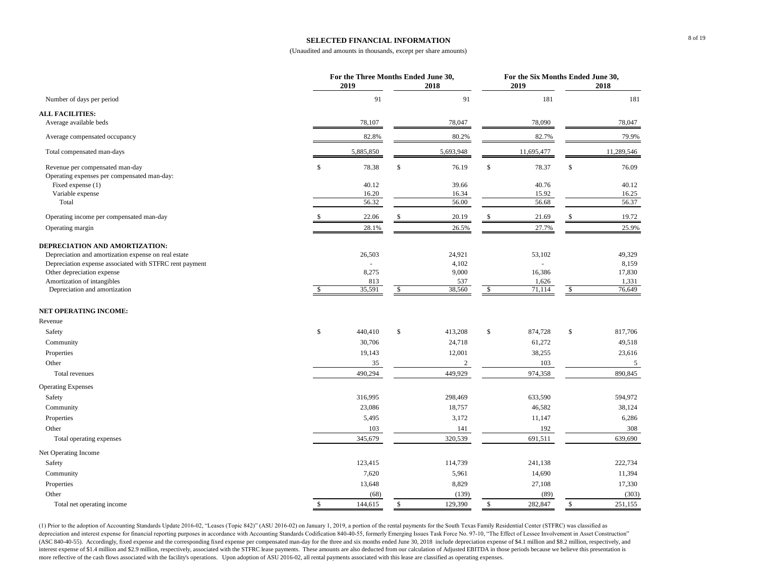#### **SELECTED FINANCIAL INFORMATION**

#### (Unaudited and amounts in thousands, except per share amounts)

| 91<br>91<br>181<br>Number of days per period<br>Average available beds<br>78,107<br>78,047<br>78,090<br>78,047<br>82.8%<br>80.2%<br>82.7%<br>Average compensated occupancy<br>5,885,850<br>11,695,477<br>11,289,546<br>Total compensated man-days<br>5,693,948<br>78.37<br>Revenue per compensated man-day<br>\$<br>78.38<br>\$<br>76.19<br>\$<br>\$<br>76.09<br>Operating expenses per compensated man-day:<br>Fixed expense (1)<br>40.12<br>39.66<br>40.76<br>40.12<br>Variable expense<br>16.20<br>16.34<br>15.92<br>16.25<br>56.32<br>56.00<br>56.68<br>56.37<br>Total<br>19.72<br>Operating income per compensated man-day<br>22.06<br>20.19<br>21.69<br>28.1%<br>26.5%<br>25.9%<br>27.7%<br>Operating margin<br>Depreciation and amortization expense on real estate<br>26,503<br>24,921<br>53,102<br>49,329<br>Depreciation expense associated with STFRC rent payment<br>4,102<br>8,159<br>Other depreciation expense<br>8,275<br>9,000<br>16,386<br>17,830<br>Amortization of intangibles<br>537<br>813<br>1,626<br>1,331<br>35,591<br>38,560<br>71,114<br>Depreciation and amortization<br>$\sqrt{2}$<br>$\sqrt{2}$<br>76,649<br>\$<br><sup>\$</sup><br>$\mathbb S$<br>$\$\,$<br>$\mathbb{S}$<br>440,410<br>413,208<br>874,728<br>\$<br>817,706<br>Safety<br>30,706<br>24,718<br>61,272<br>49,518<br>Community<br>Properties<br>19,143<br>12,001<br>38,255<br>23,616<br>35<br>103<br>$\mathfrak{S}$<br>Other<br>$\overline{c}$<br>449,929<br>490,294<br>974,358<br>890,845<br>Total revenues<br>633,590<br>Safety<br>316,995<br>298,469<br>594,972<br>23,086<br>18,757<br>46,582<br>38,124<br>Community<br>11,147<br>Properties<br>5,495<br>3,172<br>6,286<br>141<br>192<br>308<br>Other<br>103<br>345,679<br>320,539<br>691,511<br>639,690<br>Total operating expenses<br>123,415<br>114,739<br>241,138<br>222,734<br>Safety<br>7,620<br>5,961<br>14,690<br>Community<br>11,394<br>Properties<br>8,829<br>27,108<br>13,648<br>17,330<br>Other<br>(68)<br>(139)<br>(89)<br>Total net operating income<br>144,615<br>129,390<br>282,847<br>251,155<br>\$<br>\$<br>\$<br>\$ |                                | For the Three Months Ended June 30,<br>2019 | 2018 |  | 2019 |  | For the Six Months Ended June 30,<br>2018 |  |
|-------------------------------------------------------------------------------------------------------------------------------------------------------------------------------------------------------------------------------------------------------------------------------------------------------------------------------------------------------------------------------------------------------------------------------------------------------------------------------------------------------------------------------------------------------------------------------------------------------------------------------------------------------------------------------------------------------------------------------------------------------------------------------------------------------------------------------------------------------------------------------------------------------------------------------------------------------------------------------------------------------------------------------------------------------------------------------------------------------------------------------------------------------------------------------------------------------------------------------------------------------------------------------------------------------------------------------------------------------------------------------------------------------------------------------------------------------------------------------------------------------------------------------------------------------------------------------------------------------------------------------------------------------------------------------------------------------------------------------------------------------------------------------------------------------------------------------------------------------------------------------------------------------------------------------------------------------------------------------------------------------------------------------------------------------------------------------------|--------------------------------|---------------------------------------------|------|--|------|--|-------------------------------------------|--|
|                                                                                                                                                                                                                                                                                                                                                                                                                                                                                                                                                                                                                                                                                                                                                                                                                                                                                                                                                                                                                                                                                                                                                                                                                                                                                                                                                                                                                                                                                                                                                                                                                                                                                                                                                                                                                                                                                                                                                                                                                                                                                     |                                |                                             |      |  |      |  | 181                                       |  |
|                                                                                                                                                                                                                                                                                                                                                                                                                                                                                                                                                                                                                                                                                                                                                                                                                                                                                                                                                                                                                                                                                                                                                                                                                                                                                                                                                                                                                                                                                                                                                                                                                                                                                                                                                                                                                                                                                                                                                                                                                                                                                     | <b>ALL FACILITIES:</b>         |                                             |      |  |      |  |                                           |  |
|                                                                                                                                                                                                                                                                                                                                                                                                                                                                                                                                                                                                                                                                                                                                                                                                                                                                                                                                                                                                                                                                                                                                                                                                                                                                                                                                                                                                                                                                                                                                                                                                                                                                                                                                                                                                                                                                                                                                                                                                                                                                                     |                                |                                             |      |  |      |  |                                           |  |
|                                                                                                                                                                                                                                                                                                                                                                                                                                                                                                                                                                                                                                                                                                                                                                                                                                                                                                                                                                                                                                                                                                                                                                                                                                                                                                                                                                                                                                                                                                                                                                                                                                                                                                                                                                                                                                                                                                                                                                                                                                                                                     |                                |                                             |      |  |      |  | 79.9%                                     |  |
|                                                                                                                                                                                                                                                                                                                                                                                                                                                                                                                                                                                                                                                                                                                                                                                                                                                                                                                                                                                                                                                                                                                                                                                                                                                                                                                                                                                                                                                                                                                                                                                                                                                                                                                                                                                                                                                                                                                                                                                                                                                                                     |                                |                                             |      |  |      |  |                                           |  |
|                                                                                                                                                                                                                                                                                                                                                                                                                                                                                                                                                                                                                                                                                                                                                                                                                                                                                                                                                                                                                                                                                                                                                                                                                                                                                                                                                                                                                                                                                                                                                                                                                                                                                                                                                                                                                                                                                                                                                                                                                                                                                     |                                |                                             |      |  |      |  |                                           |  |
|                                                                                                                                                                                                                                                                                                                                                                                                                                                                                                                                                                                                                                                                                                                                                                                                                                                                                                                                                                                                                                                                                                                                                                                                                                                                                                                                                                                                                                                                                                                                                                                                                                                                                                                                                                                                                                                                                                                                                                                                                                                                                     |                                |                                             |      |  |      |  |                                           |  |
|                                                                                                                                                                                                                                                                                                                                                                                                                                                                                                                                                                                                                                                                                                                                                                                                                                                                                                                                                                                                                                                                                                                                                                                                                                                                                                                                                                                                                                                                                                                                                                                                                                                                                                                                                                                                                                                                                                                                                                                                                                                                                     |                                |                                             |      |  |      |  |                                           |  |
|                                                                                                                                                                                                                                                                                                                                                                                                                                                                                                                                                                                                                                                                                                                                                                                                                                                                                                                                                                                                                                                                                                                                                                                                                                                                                                                                                                                                                                                                                                                                                                                                                                                                                                                                                                                                                                                                                                                                                                                                                                                                                     |                                |                                             |      |  |      |  |                                           |  |
|                                                                                                                                                                                                                                                                                                                                                                                                                                                                                                                                                                                                                                                                                                                                                                                                                                                                                                                                                                                                                                                                                                                                                                                                                                                                                                                                                                                                                                                                                                                                                                                                                                                                                                                                                                                                                                                                                                                                                                                                                                                                                     |                                |                                             |      |  |      |  |                                           |  |
|                                                                                                                                                                                                                                                                                                                                                                                                                                                                                                                                                                                                                                                                                                                                                                                                                                                                                                                                                                                                                                                                                                                                                                                                                                                                                                                                                                                                                                                                                                                                                                                                                                                                                                                                                                                                                                                                                                                                                                                                                                                                                     |                                |                                             |      |  |      |  |                                           |  |
|                                                                                                                                                                                                                                                                                                                                                                                                                                                                                                                                                                                                                                                                                                                                                                                                                                                                                                                                                                                                                                                                                                                                                                                                                                                                                                                                                                                                                                                                                                                                                                                                                                                                                                                                                                                                                                                                                                                                                                                                                                                                                     |                                |                                             |      |  |      |  |                                           |  |
|                                                                                                                                                                                                                                                                                                                                                                                                                                                                                                                                                                                                                                                                                                                                                                                                                                                                                                                                                                                                                                                                                                                                                                                                                                                                                                                                                                                                                                                                                                                                                                                                                                                                                                                                                                                                                                                                                                                                                                                                                                                                                     | DEPRECIATION AND AMORTIZATION: |                                             |      |  |      |  |                                           |  |
|                                                                                                                                                                                                                                                                                                                                                                                                                                                                                                                                                                                                                                                                                                                                                                                                                                                                                                                                                                                                                                                                                                                                                                                                                                                                                                                                                                                                                                                                                                                                                                                                                                                                                                                                                                                                                                                                                                                                                                                                                                                                                     |                                |                                             |      |  |      |  |                                           |  |
|                                                                                                                                                                                                                                                                                                                                                                                                                                                                                                                                                                                                                                                                                                                                                                                                                                                                                                                                                                                                                                                                                                                                                                                                                                                                                                                                                                                                                                                                                                                                                                                                                                                                                                                                                                                                                                                                                                                                                                                                                                                                                     |                                |                                             |      |  |      |  |                                           |  |
|                                                                                                                                                                                                                                                                                                                                                                                                                                                                                                                                                                                                                                                                                                                                                                                                                                                                                                                                                                                                                                                                                                                                                                                                                                                                                                                                                                                                                                                                                                                                                                                                                                                                                                                                                                                                                                                                                                                                                                                                                                                                                     |                                |                                             |      |  |      |  |                                           |  |
|                                                                                                                                                                                                                                                                                                                                                                                                                                                                                                                                                                                                                                                                                                                                                                                                                                                                                                                                                                                                                                                                                                                                                                                                                                                                                                                                                                                                                                                                                                                                                                                                                                                                                                                                                                                                                                                                                                                                                                                                                                                                                     |                                |                                             |      |  |      |  |                                           |  |
|                                                                                                                                                                                                                                                                                                                                                                                                                                                                                                                                                                                                                                                                                                                                                                                                                                                                                                                                                                                                                                                                                                                                                                                                                                                                                                                                                                                                                                                                                                                                                                                                                                                                                                                                                                                                                                                                                                                                                                                                                                                                                     |                                |                                             |      |  |      |  |                                           |  |
|                                                                                                                                                                                                                                                                                                                                                                                                                                                                                                                                                                                                                                                                                                                                                                                                                                                                                                                                                                                                                                                                                                                                                                                                                                                                                                                                                                                                                                                                                                                                                                                                                                                                                                                                                                                                                                                                                                                                                                                                                                                                                     | <b>NET OPERATING INCOME:</b>   |                                             |      |  |      |  |                                           |  |
|                                                                                                                                                                                                                                                                                                                                                                                                                                                                                                                                                                                                                                                                                                                                                                                                                                                                                                                                                                                                                                                                                                                                                                                                                                                                                                                                                                                                                                                                                                                                                                                                                                                                                                                                                                                                                                                                                                                                                                                                                                                                                     | Revenue                        |                                             |      |  |      |  |                                           |  |
|                                                                                                                                                                                                                                                                                                                                                                                                                                                                                                                                                                                                                                                                                                                                                                                                                                                                                                                                                                                                                                                                                                                                                                                                                                                                                                                                                                                                                                                                                                                                                                                                                                                                                                                                                                                                                                                                                                                                                                                                                                                                                     |                                |                                             |      |  |      |  |                                           |  |
|                                                                                                                                                                                                                                                                                                                                                                                                                                                                                                                                                                                                                                                                                                                                                                                                                                                                                                                                                                                                                                                                                                                                                                                                                                                                                                                                                                                                                                                                                                                                                                                                                                                                                                                                                                                                                                                                                                                                                                                                                                                                                     |                                |                                             |      |  |      |  |                                           |  |
|                                                                                                                                                                                                                                                                                                                                                                                                                                                                                                                                                                                                                                                                                                                                                                                                                                                                                                                                                                                                                                                                                                                                                                                                                                                                                                                                                                                                                                                                                                                                                                                                                                                                                                                                                                                                                                                                                                                                                                                                                                                                                     |                                |                                             |      |  |      |  |                                           |  |
|                                                                                                                                                                                                                                                                                                                                                                                                                                                                                                                                                                                                                                                                                                                                                                                                                                                                                                                                                                                                                                                                                                                                                                                                                                                                                                                                                                                                                                                                                                                                                                                                                                                                                                                                                                                                                                                                                                                                                                                                                                                                                     |                                |                                             |      |  |      |  |                                           |  |
|                                                                                                                                                                                                                                                                                                                                                                                                                                                                                                                                                                                                                                                                                                                                                                                                                                                                                                                                                                                                                                                                                                                                                                                                                                                                                                                                                                                                                                                                                                                                                                                                                                                                                                                                                                                                                                                                                                                                                                                                                                                                                     |                                |                                             |      |  |      |  |                                           |  |
|                                                                                                                                                                                                                                                                                                                                                                                                                                                                                                                                                                                                                                                                                                                                                                                                                                                                                                                                                                                                                                                                                                                                                                                                                                                                                                                                                                                                                                                                                                                                                                                                                                                                                                                                                                                                                                                                                                                                                                                                                                                                                     | <b>Operating Expenses</b>      |                                             |      |  |      |  |                                           |  |
|                                                                                                                                                                                                                                                                                                                                                                                                                                                                                                                                                                                                                                                                                                                                                                                                                                                                                                                                                                                                                                                                                                                                                                                                                                                                                                                                                                                                                                                                                                                                                                                                                                                                                                                                                                                                                                                                                                                                                                                                                                                                                     |                                |                                             |      |  |      |  |                                           |  |
|                                                                                                                                                                                                                                                                                                                                                                                                                                                                                                                                                                                                                                                                                                                                                                                                                                                                                                                                                                                                                                                                                                                                                                                                                                                                                                                                                                                                                                                                                                                                                                                                                                                                                                                                                                                                                                                                                                                                                                                                                                                                                     |                                |                                             |      |  |      |  |                                           |  |
|                                                                                                                                                                                                                                                                                                                                                                                                                                                                                                                                                                                                                                                                                                                                                                                                                                                                                                                                                                                                                                                                                                                                                                                                                                                                                                                                                                                                                                                                                                                                                                                                                                                                                                                                                                                                                                                                                                                                                                                                                                                                                     |                                |                                             |      |  |      |  |                                           |  |
|                                                                                                                                                                                                                                                                                                                                                                                                                                                                                                                                                                                                                                                                                                                                                                                                                                                                                                                                                                                                                                                                                                                                                                                                                                                                                                                                                                                                                                                                                                                                                                                                                                                                                                                                                                                                                                                                                                                                                                                                                                                                                     |                                |                                             |      |  |      |  |                                           |  |
|                                                                                                                                                                                                                                                                                                                                                                                                                                                                                                                                                                                                                                                                                                                                                                                                                                                                                                                                                                                                                                                                                                                                                                                                                                                                                                                                                                                                                                                                                                                                                                                                                                                                                                                                                                                                                                                                                                                                                                                                                                                                                     |                                |                                             |      |  |      |  |                                           |  |
|                                                                                                                                                                                                                                                                                                                                                                                                                                                                                                                                                                                                                                                                                                                                                                                                                                                                                                                                                                                                                                                                                                                                                                                                                                                                                                                                                                                                                                                                                                                                                                                                                                                                                                                                                                                                                                                                                                                                                                                                                                                                                     | Net Operating Income           |                                             |      |  |      |  |                                           |  |
|                                                                                                                                                                                                                                                                                                                                                                                                                                                                                                                                                                                                                                                                                                                                                                                                                                                                                                                                                                                                                                                                                                                                                                                                                                                                                                                                                                                                                                                                                                                                                                                                                                                                                                                                                                                                                                                                                                                                                                                                                                                                                     |                                |                                             |      |  |      |  |                                           |  |
|                                                                                                                                                                                                                                                                                                                                                                                                                                                                                                                                                                                                                                                                                                                                                                                                                                                                                                                                                                                                                                                                                                                                                                                                                                                                                                                                                                                                                                                                                                                                                                                                                                                                                                                                                                                                                                                                                                                                                                                                                                                                                     |                                |                                             |      |  |      |  |                                           |  |
|                                                                                                                                                                                                                                                                                                                                                                                                                                                                                                                                                                                                                                                                                                                                                                                                                                                                                                                                                                                                                                                                                                                                                                                                                                                                                                                                                                                                                                                                                                                                                                                                                                                                                                                                                                                                                                                                                                                                                                                                                                                                                     |                                |                                             |      |  |      |  |                                           |  |
|                                                                                                                                                                                                                                                                                                                                                                                                                                                                                                                                                                                                                                                                                                                                                                                                                                                                                                                                                                                                                                                                                                                                                                                                                                                                                                                                                                                                                                                                                                                                                                                                                                                                                                                                                                                                                                                                                                                                                                                                                                                                                     |                                |                                             |      |  |      |  | (303)                                     |  |
|                                                                                                                                                                                                                                                                                                                                                                                                                                                                                                                                                                                                                                                                                                                                                                                                                                                                                                                                                                                                                                                                                                                                                                                                                                                                                                                                                                                                                                                                                                                                                                                                                                                                                                                                                                                                                                                                                                                                                                                                                                                                                     |                                |                                             |      |  |      |  |                                           |  |

(1) Prior to the adoption of Accounting Standards Update 2016-02, "Leases (Topic 842)" (ASU 2016-02) on January 1, 2019, a portion of the rental payments for the South Texas Family Residential Center (STFRC) was classified depreciation and interest expense for financial reporting purposes in accordance with Accounting Standards Codification 840-40-55, formerly Emerging Issues Task Force No. 97-10, "The Effect of Lessee Involvement in Asset C (ASC 840-40-55). Accordingly, fixed expense and the corresponding fixed expense per compensated man-day for the three and six months ended June 30, 2018 include depreciation expense of \$4.1 million and \$8.2 million, respec interest expense of \$1.4 million and \$2.9 million, respectively, associated with the STFRC lease payments. These amounts are also deducted from our calculation of Adjusted EBITDA in those periods because we believe this pr more reflective of the cash flows associated with the facility's operations. Upon adoption of ASU 2016-02, all rental payments associated with this lease are classified as operating expenses.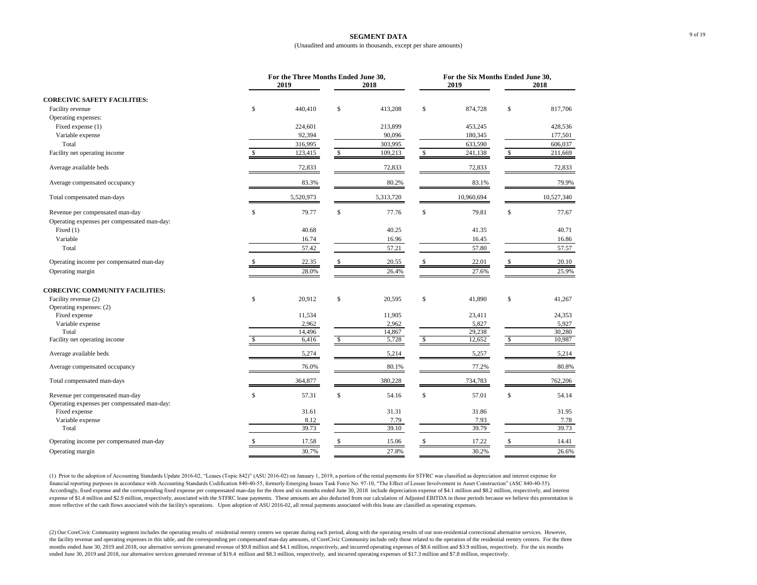#### **SEGMENT DATA** (Unaudited and amounts in thousands, except per share amounts)

|                                                              | For the Three Months Ended June 30, |               | For the Six Months Ended June 30, |               |               |               |  |  |
|--------------------------------------------------------------|-------------------------------------|---------------|-----------------------------------|---------------|---------------|---------------|--|--|
|                                                              | 2019                                | 2018          |                                   | 2019          |               | 2018          |  |  |
| <b>CORECIVIC SAFETY FACILITIES:</b>                          |                                     |               |                                   |               |               |               |  |  |
| Facility revenue                                             | \$<br>440,410                       | \$<br>413,208 | \$                                | 874,728       | \$            | 817,706       |  |  |
| Operating expenses:                                          |                                     |               |                                   |               |               |               |  |  |
| Fixed expense (1)                                            | 224,601                             | 213,899       |                                   | 453,245       |               | 428,536       |  |  |
| Variable expense                                             | 92,394                              | 90,096        |                                   | 180,345       |               | 177,501       |  |  |
| Total                                                        | 316,995                             | 303,995       |                                   | 633,590       |               | 606,037       |  |  |
| Facility net operating income                                | 123,415                             | \$<br>109,213 | $\mathcal{S}$                     | 241,138       | $\mathcal{S}$ | 211,669       |  |  |
| Average available beds                                       | 72,833                              | 72,833        |                                   | 72,833        |               | 72,833        |  |  |
| Average compensated occupancy                                | 83.3%                               | 80.2%         |                                   | 83.1%         |               | 79.9%         |  |  |
| Total compensated man-days                                   | 5,520,973                           | 5,313,720     |                                   | 10,960,694    |               | 10,527,340    |  |  |
| Revenue per compensated man-day                              | \$<br>79.77                         | \$<br>77.76   | \$                                | 79.81         | \$            | 77.67         |  |  |
| Operating expenses per compensated man-day:                  |                                     |               |                                   |               |               |               |  |  |
| Fixed $(1)$                                                  | 40.68                               | 40.25         |                                   | 41.35         |               | 40.71         |  |  |
| Variable                                                     | 16.74                               | 16.96         |                                   | 16.45         |               | 16.86         |  |  |
| Total                                                        | 57.42                               | 57.21         |                                   | 57.80         |               | 57.57         |  |  |
| Operating income per compensated man-day                     | 22.35                               | 20.55         |                                   | 22.01         |               | 20.10         |  |  |
| Operating margin                                             | 28.0%                               | 26.4%         |                                   | 27.6%         |               | 25.9%         |  |  |
| <b>CORECIVIC COMMUNITY FACILITIES:</b>                       |                                     |               |                                   |               |               |               |  |  |
| Facility revenue (2)                                         | \$<br>20,912                        | \$<br>20,595  | \$                                | 41,890        | \$            | 41,267        |  |  |
| Operating expenses: (2)                                      |                                     |               |                                   |               |               |               |  |  |
| Fixed expense                                                | 11,534                              | 11,905        |                                   | 23,411        |               | 24,353        |  |  |
| Variable expense                                             | 2,962                               | 2,962         |                                   | 5,827         |               | 5,927         |  |  |
| Total                                                        | 14,496                              | 14,867        |                                   | 29,238        |               | 30,280        |  |  |
| Facility net operating income                                | 6,416                               | \$<br>5,728   | \$                                | 12,652        | <sup>\$</sup> | 10,987        |  |  |
| Average available beds                                       | 5,274                               | 5,214         |                                   | 5,257         |               | 5,214         |  |  |
| Average compensated occupancy                                | 76.0%                               | 80.1%         |                                   | 77.2%         |               | $80.8\%$      |  |  |
| Total compensated man-days                                   | 364,877                             | 380,228       |                                   | 734,783       |               | 762,206       |  |  |
| Revenue per compensated man-day                              | \$<br>57.31                         | \$<br>54.16   | \$                                | 57.01         | \$            | 54.14         |  |  |
| Operating expenses per compensated man-day:<br>Fixed expense | 31.61                               | 31.31         |                                   |               |               |               |  |  |
| Variable expense                                             | 8.12                                | 7.79          |                                   | 31.86<br>7.93 |               | 31.95<br>7.78 |  |  |
| Total                                                        | 39.73                               | 39.10         |                                   | 39.79         |               | 39.73         |  |  |
| Operating income per compensated man-day                     | 17.58                               | 15.06         |                                   | 17.22         |               | 14.41         |  |  |
|                                                              |                                     |               |                                   |               |               |               |  |  |
| Operating margin                                             | 30.7%                               | 27.8%         |                                   | 30.2%         |               | 26.6%         |  |  |

(1) Prior to the adoption of Accounting Standards Update 2016-02, "Leases (Topic 842)" (ASU 2016-02) on January 1, 2019, a portion of the rental payments for STFRC was classified as depreciation and interest expense for financial reporting purposes in accordance with Accounting Standards Codification 840-40-55, formerly Emerging Issues Task Force No. 97-10, "The Effect of Lessee Involvement in Asset Construction" (ASC 840-40-55). Accordingly, fixed expense and the corresponding fixed expense per compensated man-day for the three and six months ended June 30, 2018 include depreciation expense of \$4.1 million and \$8.2 million, respectively, and inter expense of \$1.4 million and \$2.9 million, respectively, associated with the STFRC lease payments. These amounts are also deducted from our calculation of Adjusted EBITDA in those periods because we believe this presentatio more reflective of the cash flows associated with the facility's operations. Upon adoption of ASU 2016-02, all rental payments associated with this lease are classified as operating expenses.

(2) Our CoreCivic Community segment includes the operating results of residential reentry centers we operate during each period, along with the operating results of our non-residential correctional alternative services. Ho the facility revenue and operating expenses in this table, and the corresponding per compensated man-day amounts, of CoreCivic Community include only those related to the operation of the residential reentry centers. For t months ended June 30, 2019 and 2018, our alternative services generated revenue of \$9.8 million and \$4.1 million, respectively, and incurred operating expenses of \$8.6 million and \$3.9 million, respectively. For the six mo ended June 30, 2019 and 2018, our alternative services generated revenue of \$19.4 million and \$8.3 million, respectively, and incurred operating expenses of \$17.3 million and \$7.8 million, respectively.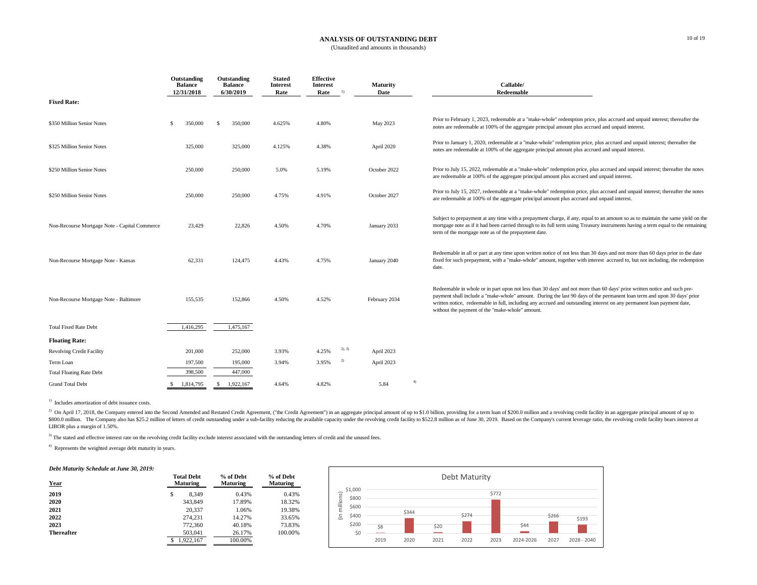#### **ANALYSIS OF OUTSTANDING DEBT**

(Unaudited and amounts in thousands)

nole" redemption price, plus accrued and unpaid interest; thereafter the ipal amount plus accrued and unpaid interest.

ple" redemption price, plus accrued and unpaid interest; thereafter the ipal amount plus accrued and unpaid interest.

redemption price, plus accrued and unpaid interest; thereafter the notes nount plus accrued and unpaid interest.

redemption price, plus accrued and unpaid interest; thereafter the notes nount plus accrued and unpaid interest.

t charge, if any, equal to an amount so as to maintain the same yield on the full term using Treasury instruments having a term equal to the remaining

tice of not less than 30 days and not more than 60 days prior to the date bunt, together with interest accrued to, but not including, the redemption

l days' and not more than 60 days' prior written notice and such preing the last 90 days of the permanent loan term and upon 30 days' prior rued and outstanding interest on any permanent loan payment date,

4) Represents the weighted average debt maturity in years.

#### *Debt Maturity Schedule at June 30, 2019:*

| Year              | <b>Total Debt</b><br><b>Maturing</b> | % of Debt<br><b>Maturing</b> | % of Debt<br><b>Maturing</b> |
|-------------------|--------------------------------------|------------------------------|------------------------------|
| 2019              | \$<br>8.349                          | 0.43%                        | 0.43%                        |
| 2020              | 343,849                              | 17.89%                       | 18.32%                       |
| 2021              | 20,337                               | 1.06%                        | 19.38%                       |
| 2022              | 274,231                              | 14.27%                       | 33.65%                       |
| 2023              | 772,360                              | 40.18%                       | 73.83%                       |
| <b>Thereafter</b> | 503,041                              | 26.17%                       | 100.00%                      |
|                   | 1,922,167                            | 100.00%                      |                              |

<sup>2)</sup> On April 17, 2018, the Company entered into the Second Amended and Restated Credit Agreement, ("the Credit Agreement") in an aggregate principal amount of up to \$1.0 billion, providing for a term loan of \$200.0 millio \$800.0 million. The Company also has \$25.2 million of letters of credit outstanding under a sub-facility reducing the available capacity under the revolving credit facility to \$522.8 million as of June 30, 2019. Based on t LIBOR plus a margin of 1.50%.

<sup>3)</sup> The stated and effective interest rate on the revolving credit facility exclude interest associated with the outstanding letters of credit and the unused fees.

|                                               | Outstanding<br><b>Balance</b><br>12/31/2018 |         | Outstanding<br><b>Balance</b><br>6/30/2019 | <b>Stated</b><br><b>Interest</b><br>Rate | <b>Effective</b><br><b>Interest</b><br>Rate | 1)     | <b>Maturity</b><br><b>Date</b> |    | Callable/<br>Redeemable                                                                                                                                                                                                  |
|-----------------------------------------------|---------------------------------------------|---------|--------------------------------------------|------------------------------------------|---------------------------------------------|--------|--------------------------------|----|--------------------------------------------------------------------------------------------------------------------------------------------------------------------------------------------------------------------------|
| <b>Fixed Rate:</b>                            |                                             |         |                                            |                                          |                                             |        |                                |    |                                                                                                                                                                                                                          |
| \$350 Million Senior Notes                    | \$                                          | 350,000 | \$<br>350,000                              | 4.625%                                   | 4.80%                                       |        | May 2023                       |    | Prior to February 1, 2023, redeemable at a "make-wh<br>notes are redeemable at 100% of the aggregate princip                                                                                                             |
| \$325 Million Senior Notes                    |                                             | 325,000 | 325,000                                    | 4.125%                                   | 4.38%                                       |        | April 2020                     |    | Prior to January 1, 2020, redeemable at a "make-who<br>notes are redeemable at 100% of the aggregate princi-                                                                                                             |
| \$250 Million Senior Notes                    |                                             | 250,000 | 250,000                                    | 5.0%                                     | 5.19%                                       |        | October 2022                   |    | Prior to July 15, 2022, redeemable at a "make-whole"<br>are redeemable at 100% of the aggregate principal an                                                                                                             |
| \$250 Million Senior Notes                    |                                             | 250,000 | 250,000                                    | 4.75%                                    | 4.91%                                       |        | October 2027                   |    | Prior to July 15, 2027, redeemable at a "make-whole"<br>are redeemable at 100% of the aggregate principal an                                                                                                             |
| Non-Recourse Mortgage Note - Capital Commerce |                                             | 23,429  | 22,826                                     | 4.50%                                    | 4.70%                                       |        | January 2033                   |    | Subject to prepayment at any time with a prepayment<br>mortgage note as if it had been carried through to its f<br>term of the mortgage note as of the prepayment date.                                                  |
| Non-Recourse Mortgage Note - Kansas           |                                             | 62,331  | 124,475                                    | 4.43%                                    | 4.75%                                       |        | January 2040                   |    | Redeemable in all or part at any time upon written not<br>fixed for such prepayment, with a "make-whole" amo<br>date.                                                                                                    |
| Non-Recourse Mortgage Note - Baltimore        |                                             | 155,535 | 152,866                                    | 4.50%                                    | 4.52%                                       |        | February 2034                  |    | Redeemable in whole or in part upon not less than 30<br>payment shall include a "make-whole" amount. Durin<br>written notice, redeemable in full, including any accru<br>without the payment of the "make-whole" amount. |
| <b>Total Fixed Rate Debt</b>                  | 1,416,295                                   |         | 1,475,167                                  |                                          |                                             |        |                                |    |                                                                                                                                                                                                                          |
| <b>Floating Rate:</b>                         |                                             |         |                                            |                                          |                                             |        |                                |    |                                                                                                                                                                                                                          |
| <b>Revolving Credit Facility</b>              |                                             | 201,000 | 252,000                                    | 3.93%                                    | 4.25%                                       | 2), 3) | April 2023                     |    |                                                                                                                                                                                                                          |
| Term Loan                                     |                                             | 197,500 | 195,000                                    | 3.94%                                    | 3.95%                                       | 2)     | April 2023                     |    |                                                                                                                                                                                                                          |
| <b>Total Floating Rate Debt</b>               |                                             | 398,500 | 447,000                                    |                                          |                                             |        |                                |    |                                                                                                                                                                                                                          |
| <b>Grand Total Debt</b>                       | \$<br>1,814,795                             |         | \$<br>1,922,167                            | 4.64%                                    | 4.82%                                       |        | 5.84                           | 4) |                                                                                                                                                                                                                          |

<sup>1)</sup> Includes amortization of debt issuance costs.

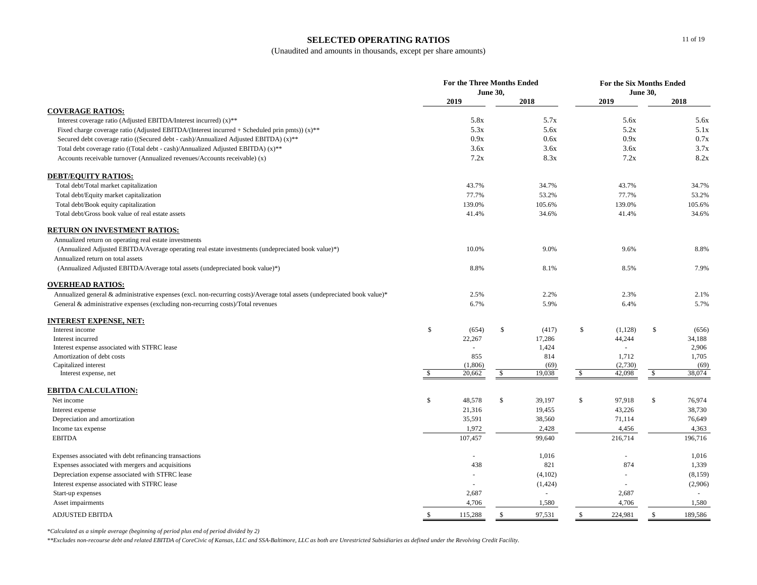### **SELECTED OPERATING RATIOS**

(Unaudited and amounts in thousands, except per share amounts)

|                                                                                                                           | <b>For the Three Months Ended</b><br><b>June 30,</b> |                          |               |         | <b>For the Six Months Ended</b><br><b>June 30,</b> |                          |               |         |
|---------------------------------------------------------------------------------------------------------------------------|------------------------------------------------------|--------------------------|---------------|---------|----------------------------------------------------|--------------------------|---------------|---------|
|                                                                                                                           |                                                      | 2019                     |               | 2018    |                                                    | 2019                     |               | 2018    |
| <b>COVERAGE RATIOS:</b>                                                                                                   |                                                      |                          |               |         |                                                    |                          |               |         |
| Interest coverage ratio (Adjusted EBITDA/Interest incurred) (x)**                                                         |                                                      | 5.8x                     |               | 5.7x    |                                                    | 5.6x                     |               | 5.6x    |
| Fixed charge coverage ratio (Adjusted EBITDA/(Interest incurred + Scheduled prin pmts)) (x)**                             |                                                      | 5.3x                     |               | 5.6x    |                                                    | 5.2x                     |               | 5.1x    |
| Secured debt coverage ratio ((Secured debt - cash)/Annualized Adjusted EBITDA) (x)**                                      |                                                      | 0.9x                     |               | 0.6x    |                                                    | 0.9x                     |               | 0.7x    |
| Total debt coverage ratio ((Total debt - cash)/Annualized Adjusted EBITDA) (x)**                                          |                                                      | 3.6x                     |               | 3.6x    |                                                    | 3.6x                     |               | 3.7x    |
| Accounts receivable turnover (Annualized revenues/Accounts receivable) (x)                                                |                                                      | 7.2x                     |               | 8.3x    |                                                    | 7.2x                     |               | 8.2x    |
| <b>DEBT/EQUITY RATIOS:</b>                                                                                                |                                                      |                          |               |         |                                                    |                          |               |         |
| Total debt/Total market capitalization                                                                                    |                                                      | 43.7%                    |               | 34.7%   |                                                    | 43.7%                    |               | 34.7%   |
| Total debt/Equity market capitalization                                                                                   |                                                      | 77.7%                    |               | 53.2%   |                                                    | 77.7%                    |               | 53.2%   |
| Total debt/Book equity capitalization                                                                                     |                                                      | 139.0%                   |               | 105.6%  |                                                    | 139.0%                   |               | 105.6%  |
| Total debt/Gross book value of real estate assets                                                                         |                                                      | 41.4%                    |               | 34.6%   |                                                    | 41.4%                    |               | 34.6%   |
| <b>RETURN ON INVESTMENT RATIOS:</b>                                                                                       |                                                      |                          |               |         |                                                    |                          |               |         |
| Annualized return on operating real estate investments                                                                    |                                                      |                          |               |         |                                                    |                          |               |         |
| (Annualized Adjusted EBITDA/Average operating real estate investments (undepreciated book value)*)                        |                                                      | 10.0%                    |               | 9.0%    |                                                    | 9.6%                     |               | 8.8%    |
| Annualized return on total assets                                                                                         |                                                      |                          |               |         |                                                    |                          |               |         |
| (Annualized Adjusted EBITDA/Average total assets (undepreciated book value)*)                                             |                                                      | 8.8%                     |               | 8.1%    |                                                    | 8.5%                     |               | 7.9%    |
| <b>OVERHEAD RATIOS:</b>                                                                                                   |                                                      |                          |               |         |                                                    |                          |               |         |
| Annualized general & administrative expenses (excl. non-recurring costs)/Average total assets (undepreciated book value)* |                                                      | 2.5%                     |               | 2.2%    |                                                    | 2.3%                     |               | 2.1%    |
| General & administrative expenses (excluding non-recurring costs)/Total revenues                                          |                                                      | 6.7%                     |               | 5.9%    |                                                    | 6.4%                     |               | 5.7%    |
| <b>INTEREST EXPENSE, NET:</b>                                                                                             |                                                      |                          |               |         |                                                    |                          |               |         |
| Interest income                                                                                                           | \$                                                   | (654)                    | \$            | (417)   | \$                                                 | (1,128)                  | \$            | (656)   |
| Interest incurred                                                                                                         |                                                      | 22,267                   |               | 17,286  |                                                    | 44,244                   |               | 34,188  |
| Interest expense associated with STFRC lease                                                                              |                                                      |                          |               | 1,424   |                                                    |                          |               | 2,906   |
| Amortization of debt costs                                                                                                |                                                      | 855                      |               | 814     |                                                    | 1,712                    |               | 1,705   |
| Capitalized interest                                                                                                      |                                                      | (1,806)                  |               | (69)    |                                                    | (2,730)                  |               | (69)    |
| Interest expense, net                                                                                                     | \$                                                   | 20,662                   | $\mathcal{S}$ | 19,038  | $\mathbb{S}$                                       | 42,098                   | $\frac{1}{2}$ | 38,074  |
| <b>EBITDA CALCULATION:</b>                                                                                                |                                                      |                          |               |         |                                                    |                          |               |         |
| Net income                                                                                                                | \$                                                   | 48,578                   | \$            | 39,197  | \$                                                 | 97,918                   | \$            | 76,974  |
| Interest expense                                                                                                          |                                                      | 21,316                   |               | 19,455  |                                                    | 43,226                   |               | 38,730  |
| Depreciation and amortization                                                                                             |                                                      | 35,591                   |               | 38,560  |                                                    | 71,114                   |               | 76,649  |
| Income tax expense                                                                                                        |                                                      | 1,972                    |               | 2,428   |                                                    | 4,456                    |               | 4,363   |
| <b>EBITDA</b>                                                                                                             |                                                      | 107,457                  |               | 99,640  |                                                    | 216,714                  |               | 196,716 |
| Expenses associated with debt refinancing transactions                                                                    |                                                      | $\overline{\phantom{a}}$ |               | 1,016   |                                                    | $\overline{\phantom{a}}$ |               | 1,016   |
| Expenses associated with mergers and acquisitions                                                                         |                                                      | 438                      |               | 821     |                                                    | 874                      |               | 1,339   |
| Depreciation expense associated with STFRC lease                                                                          |                                                      | $\overline{\phantom{a}}$ |               | (4,102) |                                                    |                          |               | (8,159) |
| Interest expense associated with STFRC lease                                                                              |                                                      | $\overline{\phantom{a}}$ |               | (1,424) |                                                    | $\overline{\phantom{a}}$ |               | (2,906) |
| Start-up expenses                                                                                                         |                                                      | 2,687                    |               |         |                                                    | 2,687                    |               |         |
| Asset impairments                                                                                                         |                                                      | 4,706                    |               | 1,580   |                                                    | 4,706                    |               | 1,580   |
| ADJUSTED EBITDA                                                                                                           |                                                      | 115,288                  |               | 97,531  |                                                    | 224,981                  |               | 189,586 |

*\*Calculated as a simple average (beginning of period plus end of period divided by 2)*

*\*\*Excludes non-recourse debt and related EBITDA of CoreCivic of Kansas, LLC and SSA-Baltimore, LLC as both are Unrestricted Subsidiaries as defined under the Revolving Credit Facility.*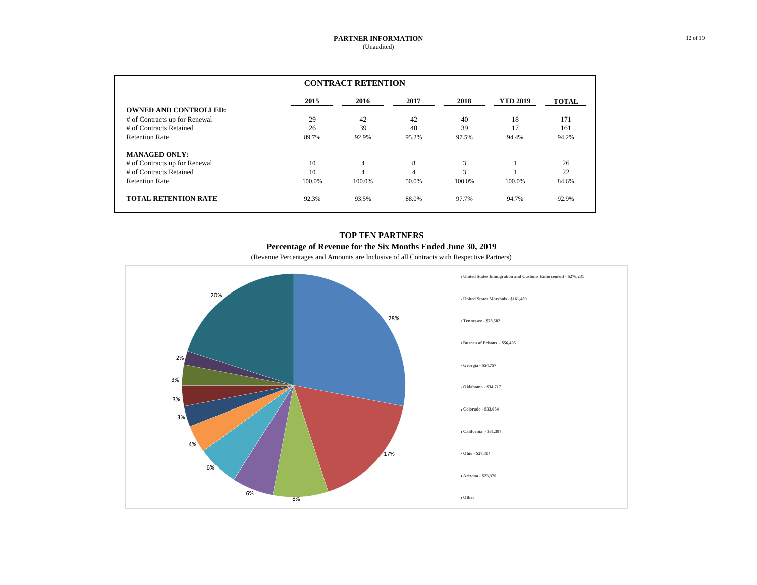|                               | <b>CONTRACT RETENTION</b> |                |       |        |                 |              |  |  |  |  |  |
|-------------------------------|---------------------------|----------------|-------|--------|-----------------|--------------|--|--|--|--|--|
|                               | 2015                      | 2016           | 2017  | 2018   | <b>YTD 2019</b> | <b>TOTAL</b> |  |  |  |  |  |
| <b>OWNED AND CONTROLLED:</b>  |                           |                |       |        |                 |              |  |  |  |  |  |
| # of Contracts up for Renewal | 29                        | 42             | 42    | 40     | 18              | 171          |  |  |  |  |  |
| # of Contracts Retained       | 26                        | 39             | 40    | 39     | 17              | 161          |  |  |  |  |  |
| <b>Retention Rate</b>         | 89.7%                     | 92.9%          | 95.2% | 97.5%  | 94.4%           | 94.2%        |  |  |  |  |  |
| <b>MANAGED ONLY:</b>          |                           |                |       |        |                 |              |  |  |  |  |  |
| # of Contracts up for Renewal | 10                        | $\overline{4}$ | 8     | 3      |                 | 26           |  |  |  |  |  |
| # of Contracts Retained       | 10                        | $\overline{4}$ | 4     | 3      |                 | 22           |  |  |  |  |  |
| <b>Retention Rate</b>         | 100.0%                    | 100.0%         | 50.0% | 100.0% | 100.0%          | 84.6%        |  |  |  |  |  |
| <b>TOTAL RETENTION RATE</b>   | 92.3%                     | 93.5%          | 88.0% | 97.7%  | 94.7%           | 92.9%        |  |  |  |  |  |

### **TOP TEN PARTNERS Percentage of Revenue for the Six Months Ended June 30, 2019**

(Revenue Percentages and Amounts are Inclusive of all Contracts with Respective Partners)

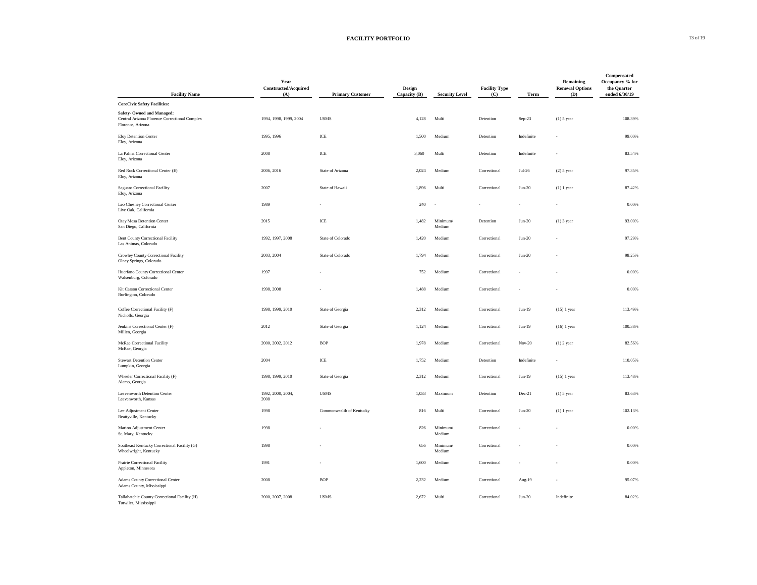## **FACILITY PORTFOLIO** 13 of 19

| <b>Facility Name</b>                                                                                                                          | Year<br><b>Constructed/Acquired</b><br>(A) | <b>Primary Customer</b>  | Design         | <b>Security Level</b> | <b>Facility Type</b> | <b>Term</b> | <b>Remaining</b><br><b>Renewal Options</b> | <b>Compensated</b><br>Occupancy % for<br>the Quarter<br>ended 6/30/19 |
|-----------------------------------------------------------------------------------------------------------------------------------------------|--------------------------------------------|--------------------------|----------------|-----------------------|----------------------|-------------|--------------------------------------------|-----------------------------------------------------------------------|
|                                                                                                                                               |                                            |                          | Capacity $(B)$ |                       | (C)                  |             | <b>(D)</b>                                 |                                                                       |
| <b>CoreCivic Safety Facilities:</b><br><b>Safety-Owned and Managed:</b><br>Central Arizona Florence Correctional Complex<br>Florence, Arizona | 1994, 1998, 1999, 2004                     | <b>USMS</b>              | 4,128          | Multi                 | Detention            | Sep-23      | $(1)$ 5 year                               | 108.39%                                                               |
| Eloy Detention Center<br>Eloy, Arizona                                                                                                        | 1995, 1996                                 | ICE                      | 1,500          | Medium                | Detention            | Indefinite  | $\overline{\phantom{a}}$                   | 99.00%                                                                |
| La Palma Correctional Center<br>Eloy, Arizona                                                                                                 | 2008                                       | ICE                      | 3,060          | Multi                 | Detention            | Indefinite  | $\overline{\phantom{a}}$                   | 83.54%                                                                |
| Red Rock Correctional Center (E)<br>Eloy, Arizona                                                                                             | 2006, 2016                                 | State of Arizona         | 2,024          | Medium                | Correctional         | $Jul-26$    | $(2)$ 5 year                               | 97.35%                                                                |
| Saguaro Correctional Facility<br>Eloy, Arizona                                                                                                | 2007                                       | State of Hawaii          | 1,896          | Multi                 | Correctional         | $Jun-20$    | $(1)$ 1 year                               | 87.42%                                                                |
| Leo Chesney Correctional Center<br>Live Oak, California                                                                                       | 1989                                       |                          | 240            | $\sim$                |                      |             | $\overline{\phantom{a}}$                   | $0.00\%$                                                              |
| Otay Mesa Detention Center<br>San Diego, California                                                                                           | 2015                                       | ICE                      | 1,482          | Minimum/<br>Medium    | Detention            | $Jun-20$    | $(1)$ 3 year                               | 93.00%                                                                |
| <b>Bent County Correctional Facility</b><br>Las Animas, Colorado                                                                              | 1992, 1997, 2008                           | State of Colorado        | 1,420          | Medium                | Correctional         | $Jun-20$    | $\overline{\phantom{a}}$                   | 97.29%                                                                |
| Crowley County Correctional Facility<br>Olney Springs, Colorado                                                                               | 2003, 2004                                 | State of Colorado        | 1,794          | Medium                | Correctional         | $Jun-20$    | $\overline{\phantom{a}}$                   | 98.25%                                                                |
| Huerfano County Correctional Center<br>Walsenburg, Colorado                                                                                   | 1997                                       | $\overline{\phantom{a}}$ | 752            | Medium                | Correctional         |             | $\overline{a}$                             | $0.00\%$                                                              |
| Kit Carson Correctional Center<br>Burlington, Colorado                                                                                        | 1998, 2008                                 | $\overline{\phantom{a}}$ | 1,488          | Medium                | Correctional         |             | $\overline{\phantom{a}}$                   | 0.00%                                                                 |
| Coffee Correctional Facility (F)<br>Nicholls, Georgia                                                                                         | 1998, 1999, 2010                           | State of Georgia         | 2,312          | Medium                | Correctional         | $Jun-19$    | $(15)$ 1 year                              | 113.49%                                                               |
| Jenkins Correctional Center (F)<br>Millen, Georgia                                                                                            | 2012                                       | State of Georgia         | 1,124          | Medium                | Correctional         | $Jun-19$    | $(16)$ 1 year                              | 100.38%                                                               |
| McRae Correctional Facility<br>McRae, Georgia                                                                                                 | 2000, 2002, 2012                           | $\rm{BOP}$               | 1,978          | Medium                | Correctional         | $Nov-20$    | $(1)$ 2 year                               | 82.56%                                                                |
| <b>Stewart Detention Center</b><br>Lumpkin, Georgia                                                                                           | 2004                                       | ICE                      | 1,752          | Medium                | Detention            | Indefinite  | $\overline{\phantom{a}}$                   | 110.05%                                                               |
| Wheeler Correctional Facility (F)<br>Alamo, Georgia                                                                                           | 1998, 1999, 2010                           | State of Georgia         | 2,312          | Medium                | Correctional         | $Jun-19$    | $(15)$ 1 year                              | 113.48%                                                               |
| Leavenworth Detention Center<br>Leavenworth, Kansas                                                                                           | 1992, 2000, 2004,<br>2008                  | <b>USMS</b>              | 1,033          | Maximum               | Detention            | Dec-21      | $(1)$ 5 year                               | 83.63%                                                                |
| Lee Adjustment Center<br>Beattyville, Kentucky                                                                                                | 1998                                       | Commonwealth of Kentucky | 816            | Multi                 | Correctional         | $Jun-20$    | $(1)$ 1 year                               | 102.13%                                                               |
| Marion Adjustment Center<br>St. Mary, Kentucky                                                                                                | 1998                                       |                          | 826            | Minimum/<br>Medium    | Correctional         |             |                                            | 0.00%                                                                 |
| Southeast Kentucky Correctional Facility (G)<br>Wheelwright, Kentucky                                                                         | 1998                                       |                          | 656            | Minimum/<br>Medium    | Correctional         |             | $\overline{\phantom{a}}$                   | 0.00%                                                                 |
| Prairie Correctional Facility<br>Appleton, Minnesota                                                                                          | 1991                                       |                          | 1,600          | Medium                | Correctional         |             | $\overline{\phantom{a}}$                   | 0.00%                                                                 |
| Adams County Correctional Center<br>Adams County, Mississippi                                                                                 | 2008                                       | <b>BOP</b>               | 2,232          | Medium                | Correctional         | Aug-19      | $\overline{\phantom{a}}$                   | 95.07%                                                                |
| Tallahatchie County Correctional Facility (H)<br>Tutwiler, Mississippi                                                                        | 2000, 2007, 2008                           | <b>USMS</b>              | 2,672          | Multi                 | Correctional         | $Jun-20$    | Indefinite                                 | 84.02%                                                                |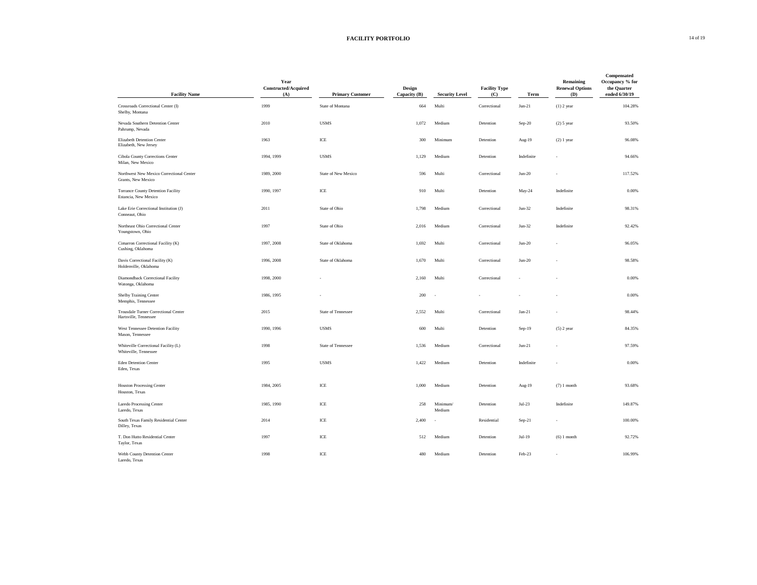| <b>Facility Name</b>                                              | Year<br>Constructed/Acquired<br>(A) | <b>Primary Customer</b>    | <b>Design</b><br>Capacity $(B)$ | <b>Security Level</b> | <b>Facility Type</b><br>(C) | <b>Term</b>    | Remaining<br><b>Renewal Options</b><br><b>(D)</b> | Compensated<br>Occupancy % for<br>the Quarter<br>ended 6/30/19 |
|-------------------------------------------------------------------|-------------------------------------|----------------------------|---------------------------------|-----------------------|-----------------------------|----------------|---------------------------------------------------|----------------------------------------------------------------|
| Crossroads Correctional Center (I)<br>Shelby, Montana             | 1999                                | State of Montana           | 664                             | Multi                 | Correctional                | $Jun-21$       | $(1)$ 2 year                                      | 104.28%                                                        |
| Nevada Southern Detention Center<br>Pahrump, Nevada               | 2010                                | <b>USMS</b>                | 1,072                           | Medium                | Detention                   | Sep-20         | $(2)$ 5 year                                      | 93.50%                                                         |
| Elizabeth Detention Center<br>Elizabeth, New Jersey               | 1963                                | ICE                        | 300                             | Minimum               | Detention                   | Aug-19         | $(2)$ 1 year                                      | 96.08%                                                         |
| Cibola County Corrections Center<br>Milan, New Mexico             | 1994, 1999                          | <b>USMS</b>                | 1,129                           | Medium                | Detention                   | Indefinite     | $\overline{\phantom{a}}$                          | 94.66%                                                         |
| Northwest New Mexico Correctional Center<br>Grants, New Mexico    | 1989, 2000                          | <b>State of New Mexico</b> | 596                             | Multi                 | Correctional                | $Jun-20$       | $\overline{\phantom{a}}$                          | 117.52%                                                        |
| <b>Torrance County Detention Facility</b><br>Estancia, New Mexico | 1990, 1997                          | ICE                        | 910                             | Multi                 | Detention                   | May-24         | Indefinite                                        | 0.00%                                                          |
| Lake Erie Correctional Institution (J)<br>Conneaut, Ohio          | 2011                                | State of Ohio              | 1,798                           | Medium                | Correctional                | $Jun-32$       | Indefinite                                        | 98.31%                                                         |
| Northeast Ohio Correctional Center<br>Youngstown, Ohio            | 1997                                | State of Ohio              | 2,016                           | Medium                | Correctional                | $Jun-32$       | Indefinite                                        | 92.42%                                                         |
| Cimarron Correctional Facility (K)<br>Cushing, Oklahoma           | 1997, 2008                          | State of Oklahoma          | 1,692                           | Multi                 | Correctional                | $Jun-20$       | $\overline{\phantom{a}}$                          | 96.05%                                                         |
| Davis Correctional Facility (K)<br>Holdenville, Oklahoma          | 1996, 2008                          | State of Oklahoma          | 1,670                           | Multi                 | Correctional                | $Jun-20$       | $\overline{\phantom{a}}$                          | 98.58%                                                         |
| Diamondback Correctional Facility<br>Watonga, Oklahoma            | 1998, 2000                          | $\overline{\phantom{a}}$   | 2,160                           | Multi                 | Correctional                |                | $\overline{\phantom{a}}$                          | 0.00%                                                          |
| Shelby Training Center<br>Memphis, Tennessee                      | 1986, 1995                          | $\overline{\phantom{a}}$   | 200                             | $\sim$                | $\overline{\phantom{a}}$    | $\overline{a}$ | $\overline{\phantom{a}}$                          | 0.00%                                                          |
| Trousdale Turner Correctional Center<br>Hartsville, Tennessee     | 2015                                | <b>State of Tennessee</b>  | 2,552                           | Multi                 | Correctional                | $Jan-21$       | $\overline{\phantom{a}}$                          | 98.44%                                                         |
| West Tennessee Detention Facility<br>Mason, Tennessee             | 1990, 1996                          | <b>USMS</b>                | 600                             | Multi                 | Detention                   | $Sep-19$       | $(5)$ 2 year                                      | 84.35%                                                         |
| Whiteville Correctional Facility (L)<br>Whiteville, Tennessee     | 1998                                | State of Tennessee         | 1,536                           | Medium                | Correctional                | $Jun-21$       |                                                   | 97.59%                                                         |
| <b>Eden Detention Center</b><br>Eden, Texas                       | 1995                                | <b>USMS</b>                | 1,422                           | Medium                | Detention                   | Indefinite     | $\overline{\phantom{a}}$                          | 0.00%                                                          |
| <b>Houston Processing Center</b><br>Houston, Texas                | 1984, 2005                          | $\rm ICE$                  | 1,000                           | Medium                | Detention                   | Aug-19         | $(7)$ 1 month                                     | 93.68%                                                         |
| Laredo Processing Center<br>Laredo, Texas                         | 1985, 1990                          | $\rm ICE$                  | 258                             | Minimum/<br>Medium    | Detention                   | $Jul-23$       | Indefinite                                        | 149.87%                                                        |
| South Texas Family Residential Center<br>Dilley, Texas            | 2014                                | $\rm ICE$                  | 2,400                           |                       | Residential                 | $Sep-21$       | $\overline{\phantom{a}}$                          | 100.00%                                                        |
| T. Don Hutto Residential Center<br>Taylor, Texas                  | 1997                                | $\rm ICE$                  | 512                             | Medium                | Detention                   | $Jul-19$       | $(6)$ 1 month                                     | 92.72%                                                         |
| Webb County Detention Center<br>Laredo, Texas                     | 1998                                | $\rm ICE$                  | 480                             | Medium                | Detention                   | Feb-23         | $\overline{\phantom{a}}$                          | 106.99%                                                        |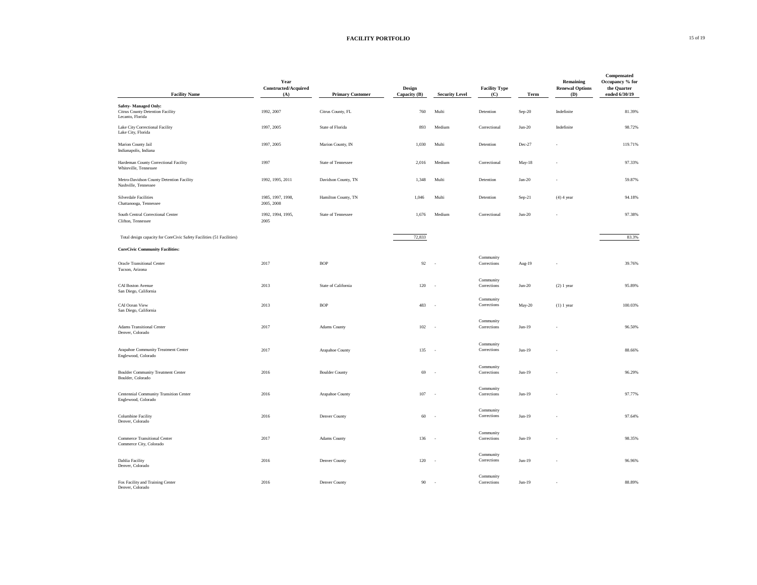## **FACILITY PORTFOLIO** 15 of 19

| <b>Facility Name</b>                                                                | Year<br><b>Constructed/Acquired</b><br>(A) | <b>Primary Customer</b>   | <b>Design</b><br>Capacity (B) | <b>Security Level</b>    | <b>Facility Type</b><br>(C) | <b>Term</b> | Remaining<br><b>Renewal Options</b><br><b>(D)</b> | Compensated<br>Occupancy % for<br>the Quarter<br>ended 6/30/19 |
|-------------------------------------------------------------------------------------|--------------------------------------------|---------------------------|-------------------------------|--------------------------|-----------------------------|-------------|---------------------------------------------------|----------------------------------------------------------------|
|                                                                                     |                                            |                           |                               |                          |                             |             |                                                   |                                                                |
| <b>Safety-Managed Only:</b><br>Citrus County Detention Facility<br>Lecanto, Florida | 1992, 2007                                 | Citrus County, FL         | 760                           | Multi                    | Detention                   | Sep-20      | Indefinite                                        | 81.39%                                                         |
| Lake City Correctional Facility<br>Lake City, Florida                               | 1997, 2005                                 | State of Florida          | 893                           | Medium                   | Correctional                | $Jun-20$    | Indefinite                                        | 98.72%                                                         |
| Marion County Jail<br>Indianapolis, Indiana                                         | 1997, 2005                                 | Marion County, IN         | 1,030                         | Multi                    | Detention                   | Dec-27      |                                                   | 119.71%                                                        |
| Hardeman County Correctional Facility<br>Whiteville, Tennessee                      | 1997                                       | State of Tennessee        | 2,016                         | Medium                   | Correctional                | $May-18$    |                                                   | 97.33%                                                         |
| Metro-Davidson County Detention Facility<br>Nashville, Tennessee                    | 1992, 1995, 2011                           | Davidson County, TN       | 1,348                         | Multi                    | Detention                   | $Jan-20$    |                                                   | 59.87%                                                         |
| Silverdale Facilities<br>Chattanooga, Tennessee                                     | 1985, 1997, 1998,<br>2005, 2008            | Hamilton County, TN       | 1,046                         | Multi                    | Detention                   | $Sep-21$    | $(4)$ 4 year                                      | 94.18%                                                         |
| South Central Correctional Center<br>Clifton, Tennessee                             | 1992, 1994, 1995,<br>2005                  | <b>State of Tennessee</b> | 1,676                         | Medium                   | Correctional                | $Jun-20$    |                                                   | 97.38%                                                         |
| Total design capacity for CoreCivic Safety Facilities (51 Facilities)               |                                            |                           | 72,833                        |                          |                             |             |                                                   | 83.3%                                                          |
| <b>CoreCivic Community Facilities:</b>                                              |                                            |                           |                               |                          |                             |             |                                                   |                                                                |
| <b>Oracle Transitional Center</b><br>Tucson, Arizona                                | 2017                                       | <b>BOP</b>                | 92                            | $\sim$                   | Community<br>Corrections    | Aug-19      | $-$                                               | 39.76%                                                         |
| <b>CAI Boston Avenue</b><br>San Diego, California                                   | 2013                                       | State of California       | $120 -$                       |                          | Community<br>Corrections    | $Jun-20$    | $(2)$ 1 year                                      | 95.89%                                                         |
| CAI Ocean View<br>San Diego, California                                             | 2013                                       | <b>BOP</b>                | 483                           | $\sim$ $-$               | Community<br>Corrections    | May-20      | $(1)$ 1 year                                      | 100.03%                                                        |
| <b>Adams Transitional Center</b><br>Denver, Colorado                                | 2017                                       | <b>Adams County</b>       | 102 -                         |                          | Community<br>Corrections    | $Jun-19$    |                                                   | 96.50%                                                         |
| Arapahoe Community Treatment Center<br>Englewood, Colorado                          | 2017                                       | Arapahoe County           | $135 -$                       |                          | Community<br>Corrections    | $Jun-19$    |                                                   | 88.66%                                                         |
| <b>Boulder Community Treatment Center</b><br>Boulder, Colorado                      | 2016                                       | <b>Boulder County</b>     | 69                            | $\sim$ $-$               | Community<br>Corrections    | $Jun-19$    | $\overline{\phantom{a}}$                          | 96.29%                                                         |
| Centennial Community Transition Center<br>Englewood, Colorado                       | 2016                                       | Arapahoe County           | 107                           | $\sim$                   | Community<br>Corrections    | $Jun-19$    | $\overline{\phantom{0}}$                          | 97.77%                                                         |
| Columbine Facility<br>Denver, Colorado                                              | 2016                                       | Denver County             | 60                            | $\sim$ $-$               | Community<br>Corrections    | $Jun-19$    |                                                   | 97.64%                                                         |
| <b>Commerce Transitional Center</b><br>Commerce City, Colorado                      | 2017                                       | <b>Adams County</b>       | 136                           | $\sim$                   | Community<br>Corrections    | $Jun-19$    | $\overline{\phantom{0}}$                          | 98.35%                                                         |
| Dahlia Facility<br>Denver, Colorado                                                 | 2016                                       | Denver County             | 120                           | $\sim$                   | Community<br>Corrections    | $Jun-19$    | $\overline{\phantom{a}}$                          | 96.96%                                                         |
| Fox Facility and Training Center<br>Denver, Colorado                                | 2016                                       | Denver County             | 90                            | $\overline{\phantom{a}}$ | Community<br>Corrections    | $Jun-19$    | $-$                                               | 88.89%                                                         |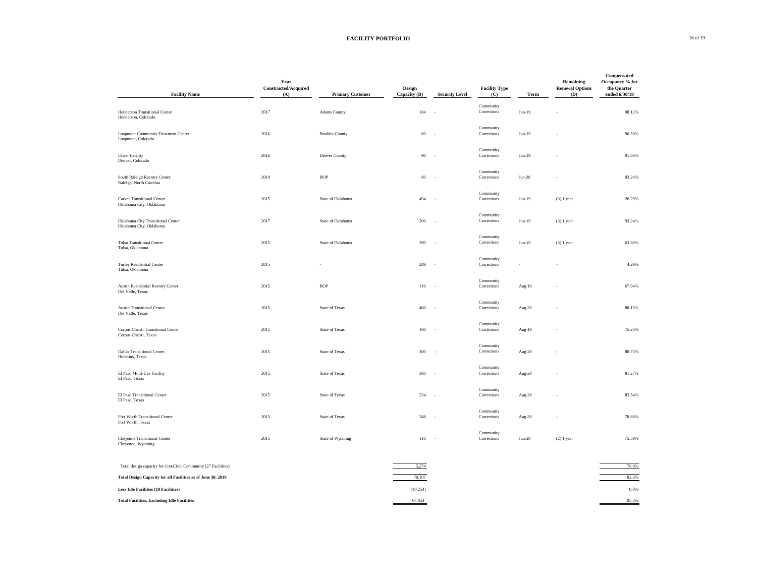| <b>Facility Name</b>                                             | Year<br>Constructed/Acquired<br>(A) | <b>Primary Customer</b> | <b>Design</b><br>Capacity (B) | <b>Security Level</b>    | <b>Facility Type</b><br>(C) | <b>Term</b> | <b>Remaining</b><br><b>Renewal Options</b><br><b>(D)</b> | Compensated<br>Occupancy % for<br>the Quarter<br>ended 6/30/19 |
|------------------------------------------------------------------|-------------------------------------|-------------------------|-------------------------------|--------------------------|-----------------------------|-------------|----------------------------------------------------------|----------------------------------------------------------------|
|                                                                  |                                     |                         |                               |                          |                             |             |                                                          |                                                                |
| Henderson Transitional Center<br>Henderson, Colorado             | 2017                                | <b>Adams County</b>     | 184                           | $\sim$                   | Community<br>Corrections    | $Jun-19$    |                                                          | 98.12%                                                         |
| <b>Longmont Community Treatment Center</b><br>Longmont, Colorado | 2016                                | <b>Boulder County</b>   | 69                            | $\overline{\phantom{a}}$ | Community<br>Corrections    | $Jun-19$    |                                                          | 96.59%                                                         |
| <b>Ulster Facility</b><br>Denver, Colorado                       | 2016                                | Denver County           | 90                            | $\sim$                   | Community<br>Corrections    | $Jun-19$    |                                                          | 91.68%                                                         |
| South Raleigh Reentry Center<br>Raleigh, North Carolina          | 2019                                | <b>BOP</b>              | 60                            | $\overline{\phantom{a}}$ | Community<br>Corrections    | $Jan-20$    |                                                          | 93.24%                                                         |
| <b>Carver Transitional Center</b><br>Oklahoma City, Oklahoma     | 2015                                | State of Oklahoma       | 494                           | $\overline{\phantom{a}}$ | Community<br>Corrections    | $Jun-19$    | $(3)$ 1 year                                             | 26.29%                                                         |
| Oklahoma City Transitional Center<br>Oklahoma City, Oklahoma     | 2017                                | State of Oklahoma       | 200                           | $\sim$                   | Community<br>Corrections    | $Jun-19$    | $(3)$ 1 year                                             | 93.24%                                                         |
| <b>Tulsa Transitional Center</b><br>Tulsa, Oklahoma              | 2015                                | State of Oklahoma       | 390                           | $\sim$ $-$               | Community<br>Corrections    | $Jun-19$    | $(3)$ 1 year                                             | 63.88%                                                         |
| Turley Residential Center<br>Tulsa, Oklahoma                     | 2015                                |                         | 289                           | $\sim$                   | Community<br>Corrections    |             |                                                          | 4.29%                                                          |
| Austin Residential Reentry Center<br>Del Valle, Texas            | 2015                                | <b>BOP</b>              | $116 -$                       |                          | Community<br>Corrections    | Aug-19      | $\sim$                                                   | 67.94%                                                         |
| <b>Austin Transitional Center</b><br>Del Valle, Texas            | 2015                                | <b>State of Texas</b>   | 460                           | $\sim$                   | Community<br>Corrections    | Aug-20      |                                                          | 88.15%                                                         |
| Corpus Christi Transitional Center<br>Corpus Christi, Texas      | 2015                                | <b>State of Texas</b>   | 160                           | $\overline{\phantom{a}}$ | Community<br>Corrections    | Aug-19      | $\overline{\phantom{0}}$                                 | 75.23%                                                         |
| <b>Dallas Transitional Center</b><br>Hutchins, Texas             | 2015                                | <b>State of Texas</b>   | $300 -$                       |                          | Community<br>Corrections    | Aug-20      | $\overline{\phantom{a}}$                                 | 88.75%                                                         |
| El Paso Multi-Use Facility<br>El Paso, Texas                     | 2015                                | <b>State of Texas</b>   | 360 -                         |                          | Community<br>Corrections    | Aug-20      | $\overline{\phantom{0}}$                                 | 81.27%                                                         |
| El Paso Transitional Center<br>El Paso, Texas                    | 2015                                | <b>State of Texas</b>   | 224                           | $\sim$                   | Community<br>Corrections    | Aug-20      |                                                          | 83.54%                                                         |
| Fort Worth Transitional Center<br>Fort Worth, Texas              | 2015                                | <b>State of Texas</b>   | 248                           | $\sim$ $-$               | Community<br>Corrections    | Aug-20      |                                                          | 78.66%                                                         |
| <b>Cheyenne Transitional Center</b><br>Cheyenne, Wyoming         | 2015                                | State of Wyoming        | 116                           | $\sim$ $-$               | Community<br>Corrections    | $Jun-20$    | $(2)$ 1 year                                             | 75.59%                                                         |
| Total design capacity for CoreCivic Community (27 Facilities)    |                                     |                         | 5,274                         |                          |                             |             |                                                          | 76.0%                                                          |
| Total Design Capacity for all Facilities as of June 30, 2019     |                                     |                         | 78,107                        |                          |                             |             |                                                          | 82.8%                                                          |
| <b>Less Idle Facilities (10 Facilities)</b>                      |                                     |                         | (10, 254)                     |                          |                             |             |                                                          | $0.0\%$                                                        |
| <b>Total Facilities, Excluding Idle Facilities</b>               |                                     |                         | 67,853                        |                          |                             |             |                                                          | 95.3%                                                          |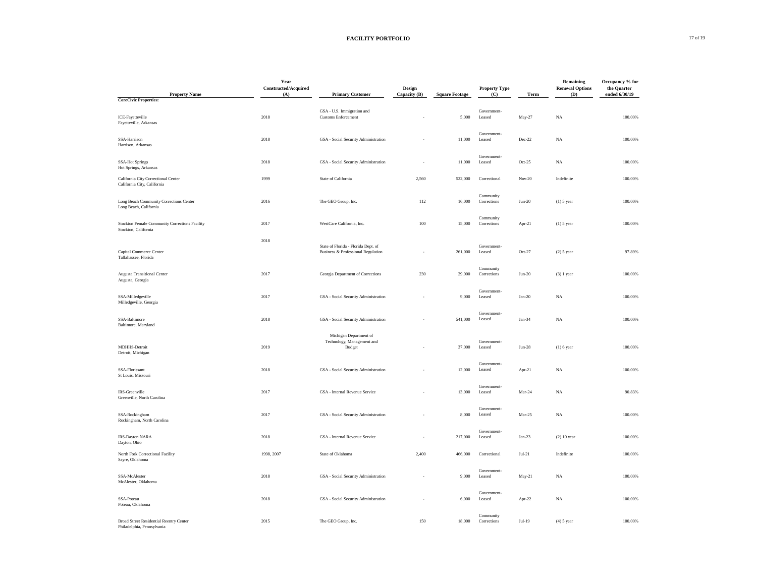## **FACILITY PORTFOLIO** 17 of 19

| <b>Property Name</b><br><b>CoreCivic Properties:</b>                         | Year<br><b>Constructed/Acquired</b><br>(A) | <b>Primary Customer</b>                                                   | <b>Design</b><br>Capacity (B) | <b>Square Footage</b> | <b>Property Type</b><br>(C) | <b>Term</b> | <b>Remaining</b><br><b>Renewal Options</b><br><b>(D)</b> | Occupancy % for<br>the Quarter<br>ended 6/30/19 |
|------------------------------------------------------------------------------|--------------------------------------------|---------------------------------------------------------------------------|-------------------------------|-----------------------|-----------------------------|-------------|----------------------------------------------------------|-------------------------------------------------|
|                                                                              |                                            |                                                                           |                               |                       |                             |             |                                                          |                                                 |
| ICE-Fayetteville<br>Fayetteville, Arkansas                                   | 2018                                       | GSA - U.S. Immigration and<br><b>Customs Enforcement</b>                  | $\overline{\phantom{0}}$      | 5,000                 | Government-<br>Leased       | May-27      | NA                                                       | 100.00%                                         |
| SSA-Harrison<br>Harrison, Arkansas                                           | 2018                                       | GSA - Social Security Administration                                      | $\overline{\phantom{a}}$      | 11,000                | Government-<br>Leased       | Dec-22      | <b>NA</b>                                                | 100.00%                                         |
| <b>SSA-Hot Springs</b><br>Hot Springs, Arkansas                              | 2018                                       | GSA - Social Security Administration                                      |                               | 11,000                | Government-<br>Leased       | Oct- $25$   | <b>NA</b>                                                | 100.00%                                         |
| California City Correctional Center<br>California City, California           | 1999                                       | State of California                                                       | 2,560                         | 522,000               | Correctional                | $Nov-20$    | Indefinite                                               | 100.00%                                         |
| Long Beach Community Corrections Center<br>Long Beach, California            | 2016                                       | The GEO Group, Inc.                                                       | 112                           | 16,000                | Community<br>Corrections    | $Jun-20$    | $(1)$ 5 year                                             | 100.00%                                         |
| Stockton Female Community Corrections Facility<br>Stockton, California       | 2017                                       | WestCare California, Inc.                                                 | 100                           | 15,000                | Community<br>Corrections    | Apr-21      | $(1)$ 5 year                                             | 100.00%                                         |
| Capital Commerce Center<br>Tallahassee, Florida                              | 2018                                       | State of Florida - Florida Dept. of<br>Business & Professional Regulation | $ \,$                         | 261,000               | Government-<br>Leased       | $Oct-27$    | $(2)$ 5 year                                             | 97.89%                                          |
| <b>Augusta Transitional Center</b><br>Augusta, Georgia                       | 2017                                       | Georgia Department of Corrections                                         | 230                           | 29,000                | Community<br>Corrections    | $Jun-20$    | $(3)$ 1 year                                             | 100.00%                                         |
| SSA-Milledgeville<br>Milledgeville, Georgia                                  | 2017                                       | GSA - Social Security Administration                                      |                               | 9,000                 | Government-<br>Leased       | $Jan-20$    | NA                                                       | 100.00%                                         |
| SSA-Baltimore<br>Baltimore, Maryland                                         | 2018                                       | GSA - Social Security Administration                                      | $\overline{\phantom{a}}$      | 541,000               | Government-<br>Leased       | Jan-34      | <b>NA</b>                                                | 100.00%                                         |
| MDHHS-Detroit<br>Detroit, Michigan                                           | 2019                                       | Michigan Department of<br>Technology, Management and<br><b>Budget</b>     | $\overline{\phantom{a}}$      | 37,000                | Government-<br>Leased       | $Jun-28$    | $(1)$ 6 year                                             | 100.00%                                         |
| SSA-Florissant<br>St Louis, Missouri                                         | 2018                                       | GSA - Social Security Administration                                      | $\overline{\phantom{a}}$      | 12,000                | Government-<br>Leased       | Apr-21      | NA                                                       | 100.00%                                         |
| IRS-Greenville<br>Greenville, North Carolina                                 | 2017                                       | GSA - Internal Revenue Service                                            | $\overline{\phantom{a}}$      | 13,000                | Government-<br>Leased       | Mar-24      | NA                                                       | 90.83%                                          |
| SSA-Rockingham<br>Rockingham, North Carolina                                 | 2017                                       | GSA - Social Security Administration                                      |                               | 8,000                 | Government-<br>Leased       | Mar-25      | NA                                                       | 100.00%                                         |
| IRS-Dayton NARA<br>Dayton, Ohio                                              | 2018                                       | GSA - Internal Revenue Service                                            |                               | 217,000               | Government-<br>Leased       | $Jan-23$    | $(2)$ 10 year                                            | 100.00%                                         |
| North Fork Correctional Facility<br>Sayre, Oklahoma                          | 1998, 2007                                 | State of Oklahoma                                                         | 2,400                         | 466,000               | Correctional                | $Jul-21$    | Indefinite                                               | 100.00%                                         |
| SSA-McAlester<br>McAlester, Oklahoma                                         | 2018                                       | GSA - Social Security Administration                                      | $\overline{a}$                | 9,000                 | Government-<br>Leased       | May-21      | <b>NA</b>                                                | 100.00%                                         |
| SSA-Poteau<br>Poteau, Oklahoma                                               | 2018                                       | GSA - Social Security Administration                                      | $\overline{\phantom{a}}$      | 6,000                 | Government-<br>Leased       | Apr-22      | NA                                                       | 100.00%                                         |
| <b>Broad Street Residential Reentry Center</b><br>Philadelphia, Pennsylvania | 2015                                       | The GEO Group, Inc.                                                       | 150                           | 18,000                | Community<br>Corrections    | $Jul-19$    | $(4)$ 5 year                                             | 100.00%                                         |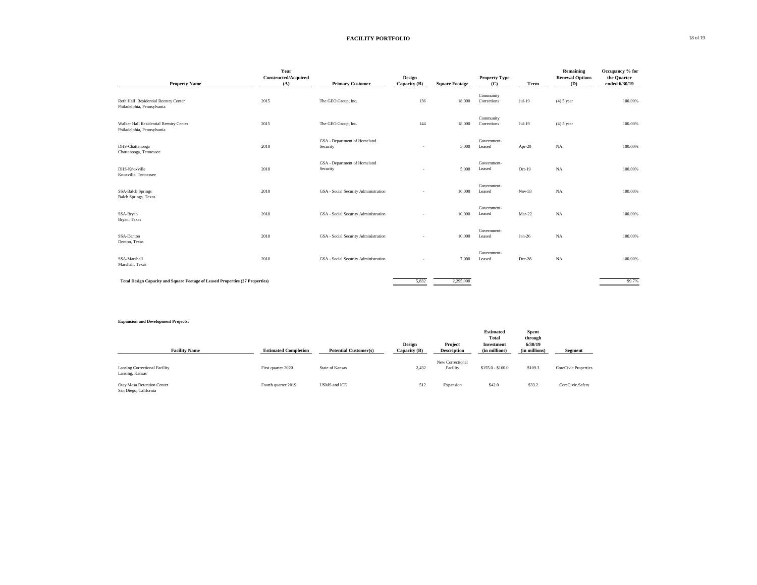## **FACILITY PORTFOLIO** 18 of 19

| <b>Property Name</b>                                                          | Year<br>Constructed/Acquired<br>(A) | <b>Primary Customer</b>                  | Design<br>Capacity (B)   | <b>Square Footage</b> | <b>Property Type</b><br>(C) | <b>Term</b> | <b>Remaining</b><br><b>Renewal Options</b><br><b>(D)</b> | Occupancy % for<br>the Quarter<br>ended 6/30/19 |
|-------------------------------------------------------------------------------|-------------------------------------|------------------------------------------|--------------------------|-----------------------|-----------------------------|-------------|----------------------------------------------------------|-------------------------------------------------|
| Roth Hall Residential Reentry Center<br>Philadelphia, Pennsylvania            | 2015                                | The GEO Group, Inc.                      | 136                      | 18,000                | Community<br>Corrections    | $Jul-19$    | $(4)$ 5 year                                             | 100.00%                                         |
| Walker Hall Residential Reentry Center<br>Philadelphia, Pennsylvania          | 2015                                | The GEO Group, Inc.                      | 144                      | 18,000                | Community<br>Corrections    | $Jul-19$    | $(4)$ 5 year                                             | 100.00%                                         |
| DHS-Chattanooga<br>Chattanooga, Tennessee                                     | 2018                                | GSA - Department of Homeland<br>Security | $\overline{\phantom{a}}$ | 5,000                 | Government-<br>Leased       | Apr-20      | NA                                                       | 100.00%                                         |
| DHS-Knoxville<br>Knoxville, Tennessee                                         | 2018                                | GSA - Department of Homeland<br>Security | $\overline{a}$           | 5,000                 | Government-<br>Leased       | $Oct-19$    | NA                                                       | 100.00%                                         |
| <b>SSA-Balch Springs</b><br><b>Balch Springs</b> , Texas                      | 2018                                | GSA - Social Security Administration     |                          | 16,000                | Government-<br>Leased       | $Nov-33$    | NA                                                       | 100.00%                                         |
| SSA-Bryan<br>Bryan, Texas                                                     | 2018                                | GSA - Social Security Administration     |                          | 10,000                | Government-<br>Leased       | $Mar-22$    | NA                                                       | 100.00%                                         |
| SSA-Denton<br>Denton, Texas                                                   | 2018                                | GSA - Social Security Administration     |                          | 10,000                | Government-<br>Leased       | Jan-26      | NA                                                       | 100.00%                                         |
| SSA-Marshall<br>Marshall, Texas                                               | 2018                                | GSA - Social Security Administration     |                          | 7,000                 | Government-<br>Leased       | Dec-28      | NA                                                       | 100.00%                                         |
| Total Design Capacity and Square Footage of Leased Properties (27 Properties) |                                     |                                          | 5,832                    | 2,295,000             |                             |             |                                                          | 99.7%                                           |

#### **Expansion and Development Projects:**

| <b>Design</b><br>Capacity (B) | Project<br><b>Description</b> | <b>Estimated</b><br><b>Total</b><br><b>Investment</b><br>(in millions) | <b>Spent</b><br>through<br>6/30/19<br>(in millions) | <b>Segment</b>       |
|-------------------------------|-------------------------------|------------------------------------------------------------------------|-----------------------------------------------------|----------------------|
| 2,432                         | New Correctional<br>Facility  | $$155.0 - $160.0$                                                      | \$109.3                                             | CoreCivic Properties |
| 512                           | Expansion                     | \$42.0                                                                 | \$33.2                                              | CoreCivic Safety     |

| <b>Facility Name</b>                                | <b>Estimated Completion</b> | <b>Potential Customer(s)</b> | Design<br>Capacity (B) | Project<br><b>Description</b> | <b>Investment</b><br>(in millions) | 6/30/19<br>(in millions) | <b>Segment</b>     |
|-----------------------------------------------------|-----------------------------|------------------------------|------------------------|-------------------------------|------------------------------------|--------------------------|--------------------|
| Lansing Correctional Facility<br>Lansing, Kansas    | First quarter 2020          | State of Kansas              | 2,432                  | New Correctional<br>Facility  | $$155.0 - $160.0$                  | \$109.3                  | CoreCivic Properti |
| Otay Mesa Detention Center<br>San Diego, California | Fourth quarter 2019         | USMS and ICE                 | 512                    | Expansion                     | \$42.0                             | \$33.2                   | CoreCivic Safety   |